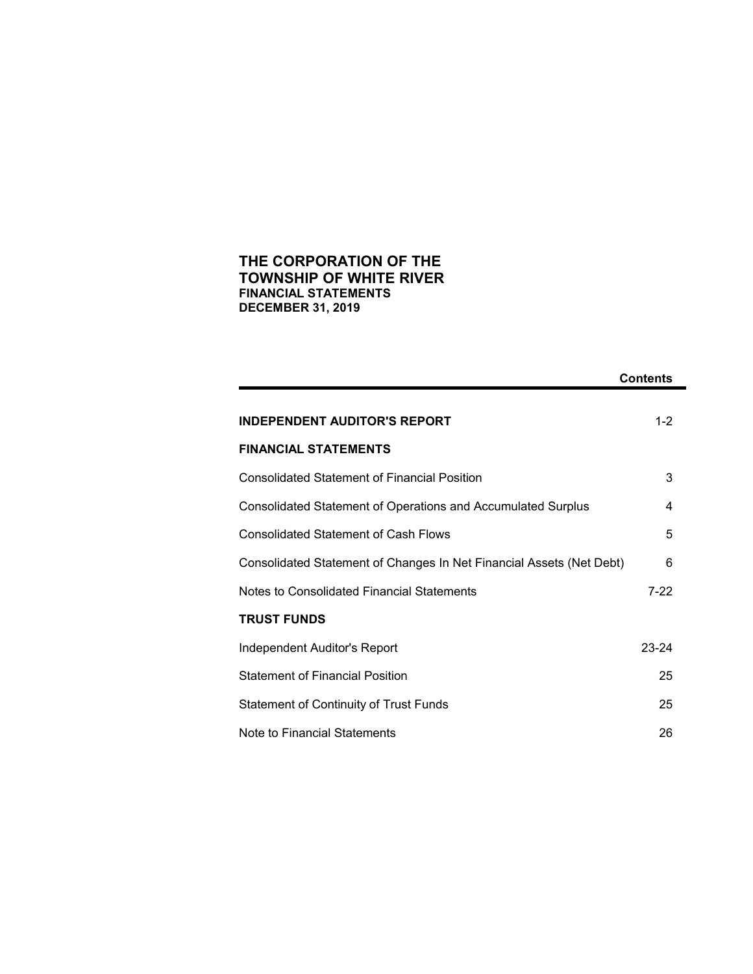# **THE CORPORATION OF THE TOWNSHIP OF WHITE RIVER FINANCIAL STATEMENTS DECEMBER 31, 2019**

|                                                                      | <b>Contents</b> |
|----------------------------------------------------------------------|-----------------|
| <b>INDEPENDENT AUDITOR'S REPORT</b>                                  | $1 - 2$         |
| <b>FINANCIAL STATEMENTS</b>                                          |                 |
| <b>Consolidated Statement of Financial Position</b>                  | 3               |
| Consolidated Statement of Operations and Accumulated Surplus         | 4               |
| <b>Consolidated Statement of Cash Flows</b>                          | 5               |
| Consolidated Statement of Changes In Net Financial Assets (Net Debt) | 6               |
| Notes to Consolidated Financial Statements                           | $7-22$          |
| <b>TRUST FUNDS</b>                                                   |                 |
| Independent Auditor's Report                                         | 23-24           |
| <b>Statement of Financial Position</b>                               | 25              |
| <b>Statement of Continuity of Trust Funds</b>                        | 25              |
| Note to Financial Statements                                         | 26              |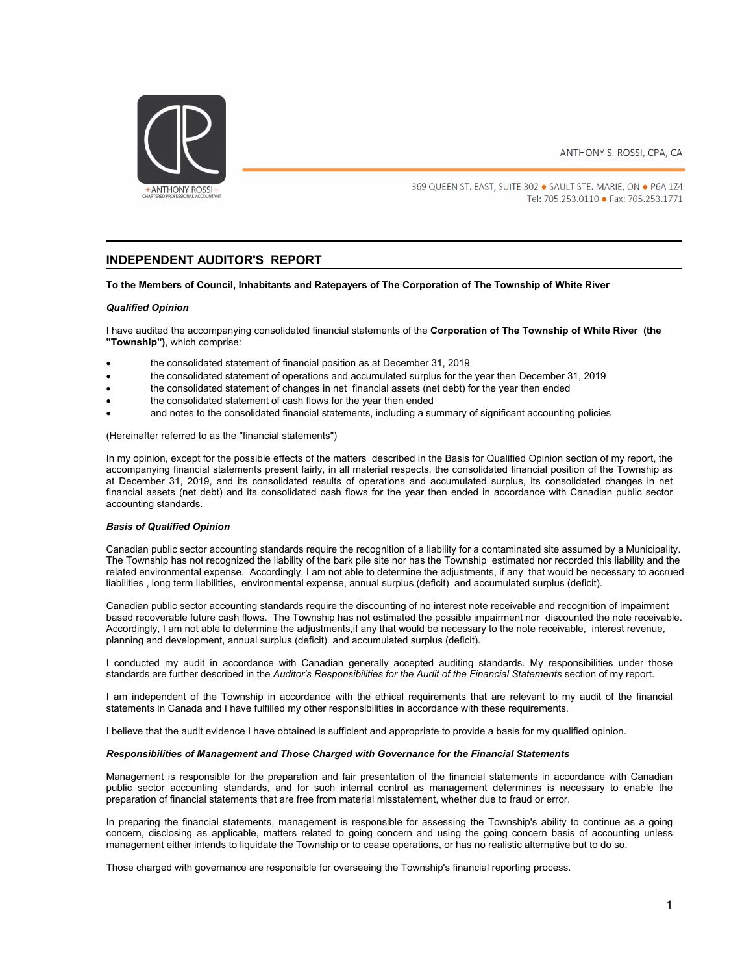

ANTHONY S. ROSSI, CPA, CA

369 QUEEN ST. EAST, SUITE 302 · SAULT STE. MARIE, ON · P6A 1Z4 Tel: 705.253.0110 · Fax: 705.253.1771

# **INDEPENDENT AUDITOR'S REPORT**

#### **To the Members of Council, Inhabitants and Ratepayers of The Corporation of The Township of White River**

#### *Qualified Opinion*

I have audited the accompanying consolidated financial statements of the **Corporation of The Township of White River (the "Township")**, which comprise:

- the consolidated statement of financial position as at December 31, 2019
- the consolidated statement of operations and accumulated surplus for the year then December 31, 2019
- the consolidated statement of changes in net financial assets (net debt) for the year then ended
- the consolidated statement of cash flows for the year then ended
- and notes to the consolidated financial statements, including a summary of significant accounting policies

(Hereinafter referred to as the "financial statements")

In my opinion, except for the possible effects of the matters described in the Basis for Qualified Opinion section of my report, the accompanying financial statements present fairly, in all material respects, the consolidated financial position of the Township as at December 31, 2019, and its consolidated results of operations and accumulated surplus, its consolidated changes in net financial assets (net debt) and its consolidated cash flows for the year then ended in accordance with Canadian public sector accounting standards.

#### *Basis of Qualified Opinion*

Canadian public sector accounting standards require the recognition of a liability for a contaminated site assumed by a Municipality. The Township has not recognized the liability of the bark pile site nor has the Township estimated nor recorded this liability and the related environmental expense. Accordingly, I am not able to determine the adjustments, if any that would be necessary to accrued liabilities , long term liabilities, environmental expense, annual surplus (deficit) and accumulated surplus (deficit).

Canadian public sector accounting standards require the discounting of no interest note receivable and recognition of impairment based recoverable future cash flows. The Township has not estimated the possible impairment nor discounted the note receivable. Accordingly, I am not able to determine the adjustments,if any that would be necessary to the note receivable, interest revenue, planning and development, annual surplus (deficit) and accumulated surplus (deficit).

I conducted my audit in accordance with Canadian generally accepted auditing standards. My responsibilities under those standards are further described in the *Auditor's Responsibilities for the Audit of the Financial Statements* section of my report.

I am independent of the Township in accordance with the ethical requirements that are relevant to my audit of the financial statements in Canada and I have fulfilled my other responsibilities in accordance with these requirements.

I believe that the audit evidence I have obtained is sufficient and appropriate to provide a basis for my qualified opinion.

#### *Responsibilities of Management and Those Charged with Governance for the Financial Statements*

Management is responsible for the preparation and fair presentation of the financial statements in accordance with Canadian public sector accounting standards, and for such internal control as management determines is necessary to enable the preparation of financial statements that are free from material misstatement, whether due to fraud or error.

In preparing the financial statements, management is responsible for assessing the Township's ability to continue as a going concern, disclosing as applicable, matters related to going concern and using the going concern basis of accounting unless management either intends to liquidate the Township or to cease operations, or has no realistic alternative but to do so.

Those charged with governance are responsible for overseeing the Township's financial reporting process.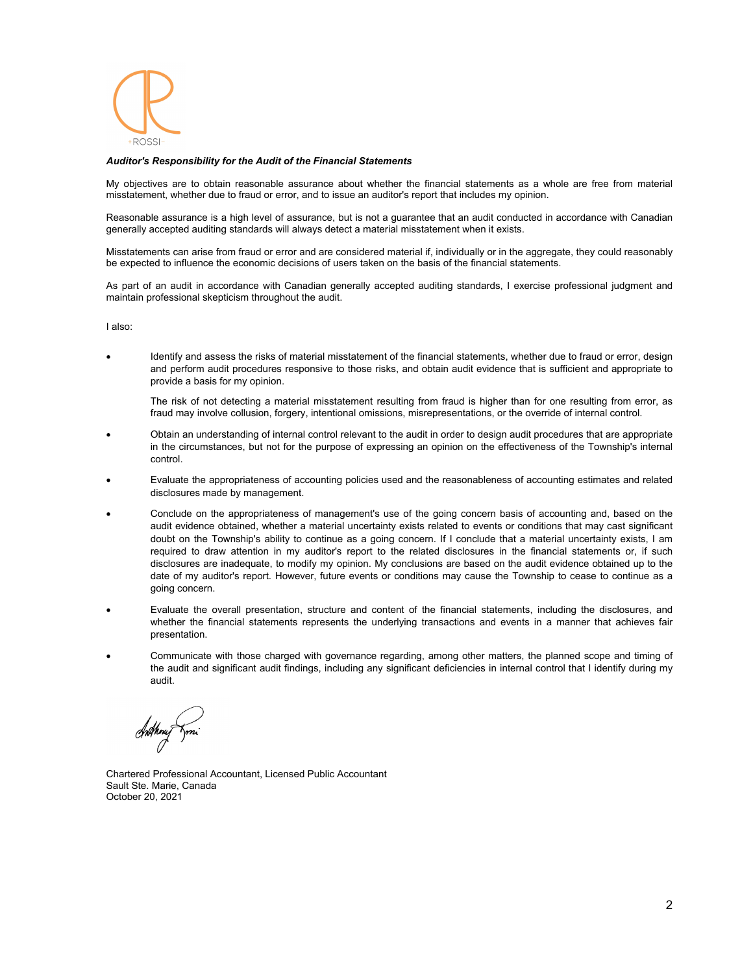

#### *Auditor's Responsibility for the Audit of the Financial Statements*

My objectives are to obtain reasonable assurance about whether the financial statements as a whole are free from material misstatement, whether due to fraud or error, and to issue an auditor's report that includes my opinion.

Reasonable assurance is a high level of assurance, but is not a guarantee that an audit conducted in accordance with Canadian generally accepted auditing standards will always detect a material misstatement when it exists.

Misstatements can arise from fraud or error and are considered material if, individually or in the aggregate, they could reasonably be expected to influence the economic decisions of users taken on the basis of the financial statements.

As part of an audit in accordance with Canadian generally accepted auditing standards, I exercise professional judgment and maintain professional skepticism throughout the audit.

I also:

 Identify and assess the risks of material misstatement of the financial statements, whether due to fraud or error, design and perform audit procedures responsive to those risks, and obtain audit evidence that is sufficient and appropriate to provide a basis for my opinion.

The risk of not detecting a material misstatement resulting from fraud is higher than for one resulting from error, as fraud may involve collusion, forgery, intentional omissions, misrepresentations, or the override of internal control.

- Obtain an understanding of internal control relevant to the audit in order to design audit procedures that are appropriate in the circumstances, but not for the purpose of expressing an opinion on the effectiveness of the Township's internal control.
- Evaluate the appropriateness of accounting policies used and the reasonableness of accounting estimates and related disclosures made by management.
- Conclude on the appropriateness of management's use of the going concern basis of accounting and, based on the audit evidence obtained, whether a material uncertainty exists related to events or conditions that may cast significant doubt on the Township's ability to continue as a going concern. If I conclude that a material uncertainty exists, I am required to draw attention in my auditor's report to the related disclosures in the financial statements or, if such disclosures are inadequate, to modify my opinion. My conclusions are based on the audit evidence obtained up to the date of my auditor's report. However, future events or conditions may cause the Township to cease to continue as a going concern.
- Evaluate the overall presentation, structure and content of the financial statements, including the disclosures, and whether the financial statements represents the underlying transactions and events in a manner that achieves fair presentation.
- Communicate with those charged with governance regarding, among other matters, the planned scope and timing of the audit and significant audit findings, including any significant deficiencies in internal control that I identify during my audit.

Chartered Professional Accountant, Licensed Public Accountant Sault Ste. Marie, Canada October 20, 2021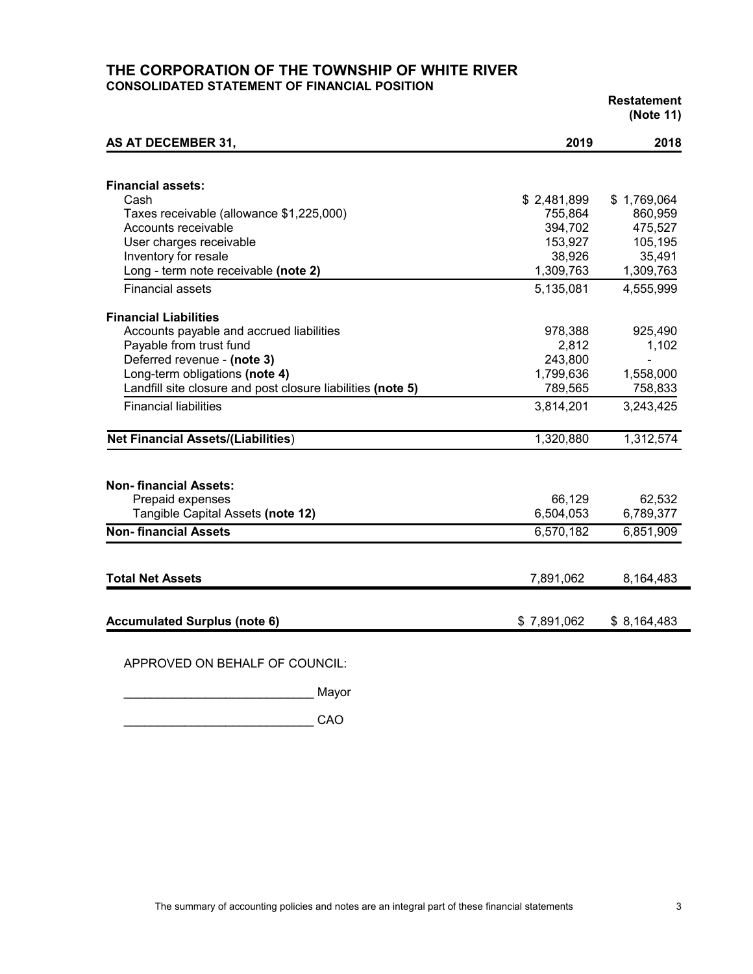# **THE CORPORATION OF THE TOWNSHIP OF WHITE RIVER CONSOLIDATED STATEMENT OF FINANCIAL POSITION**

**Restatement (Note 11)**

|                                                             |             | .              |
|-------------------------------------------------------------|-------------|----------------|
| AS AT DECEMBER 31,                                          | 2019        | 2018           |
|                                                             |             |                |
| <b>Financial assets:</b>                                    |             |                |
| Cash                                                        | \$2,481,899 | \$1,769,064    |
| Taxes receivable (allowance \$1,225,000)                    | 755,864     | 860,959        |
| Accounts receivable                                         | 394,702     | 475,527        |
| User charges receivable                                     | 153,927     | 105,195        |
| Inventory for resale                                        | 38,926      | 35,491         |
| Long - term note receivable (note 2)                        | 1,309,763   | 1,309,763      |
| <b>Financial assets</b>                                     | 5,135,081   | 4,555,999      |
| <b>Financial Liabilities</b>                                |             |                |
| Accounts payable and accrued liabilities                    | 978,388     | 925,490        |
| Payable from trust fund                                     | 2,812       | 1,102          |
| Deferred revenue - (note 3)                                 | 243,800     | $\blacksquare$ |
| Long-term obligations (note 4)                              | 1,799,636   | 1,558,000      |
| Landfill site closure and post closure liabilities (note 5) | 789,565     | 758,833        |
| <b>Financial liabilities</b>                                | 3,814,201   | 3,243,425      |
| <b>Net Financial Assets/(Liabilities)</b>                   | 1,320,880   | 1,312,574      |
| <b>Non-financial Assets:</b>                                |             |                |
| Prepaid expenses                                            | 66,129      | 62,532         |
| Tangible Capital Assets (note 12)                           | 6,504,053   | 6,789,377      |
| <b>Non-financial Assets</b>                                 | 6,570,182   | 6,851,909      |
|                                                             |             |                |
| <b>Total Net Assets</b>                                     | 7,891,062   | 8,164,483      |
| <b>Accumulated Surplus (note 6)</b>                         | \$7,891,062 | \$8,164,483    |
| APPROVED ON BEHALF OF COUNCIL:                              |             |                |

\_\_\_\_\_\_\_\_\_\_\_\_\_\_\_\_\_\_\_\_\_\_\_\_\_\_\_\_ Mayor

\_\_\_\_\_\_\_\_\_\_\_\_\_\_\_\_\_\_\_\_\_\_\_\_\_\_\_\_ CAO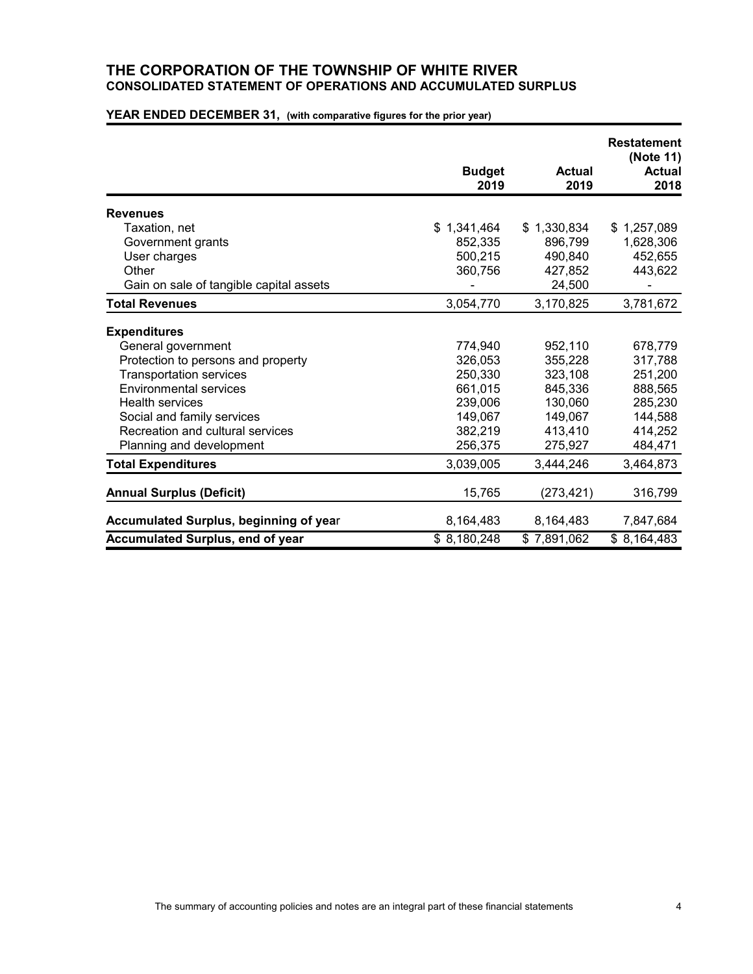# **THE CORPORATION OF THE TOWNSHIP OF WHITE RIVER CONSOLIDATED STATEMENT OF OPERATIONS AND ACCUMULATED SURPLUS**

# **YEAR ENDED DECEMBER 31, (with comparative figures for the prior year)**

|                                               | <b>Budget</b><br>2019 | <b>Actual</b><br>2019 | <b>Restatement</b><br>(Note 11)<br><b>Actual</b><br>2018 |
|-----------------------------------------------|-----------------------|-----------------------|----------------------------------------------------------|
| <b>Revenues</b>                               |                       |                       |                                                          |
| Taxation, net                                 | \$1,341,464           | \$1,330,834           | \$1,257,089                                              |
| Government grants                             | 852,335               | 896,799               | 1,628,306                                                |
| User charges                                  | 500,215               | 490,840               | 452,655                                                  |
| Other                                         | 360,756               | 427,852               | 443,622                                                  |
| Gain on sale of tangible capital assets       |                       | 24,500                | -                                                        |
| <b>Total Revenues</b>                         | 3,054,770             | 3,170,825             | 3,781,672                                                |
| <b>Expenditures</b>                           |                       |                       |                                                          |
| General government                            | 774,940               | 952,110               | 678,779                                                  |
| Protection to persons and property            | 326,053               | 355,228               | 317,788                                                  |
| <b>Transportation services</b>                | 250,330               | 323,108               | 251,200                                                  |
| <b>Environmental services</b>                 | 661,015               | 845,336               | 888,565                                                  |
| <b>Health services</b>                        | 239,006               | 130,060               | 285,230                                                  |
| Social and family services                    | 149,067               | 149,067               | 144,588                                                  |
| Recreation and cultural services              | 382,219               | 413,410               | 414,252                                                  |
| Planning and development                      | 256,375               | 275,927               | 484,471                                                  |
| <b>Total Expenditures</b>                     | 3,039,005             | 3,444,246             | 3,464,873                                                |
| <b>Annual Surplus (Deficit)</b>               | 15,765                | (273,421)             | 316,799                                                  |
| <b>Accumulated Surplus, beginning of year</b> | 8,164,483             | 8,164,483             | 7,847,684                                                |
| <b>Accumulated Surplus, end of year</b>       | \$8,180,248           | \$7,891,062           | \$8,164,483                                              |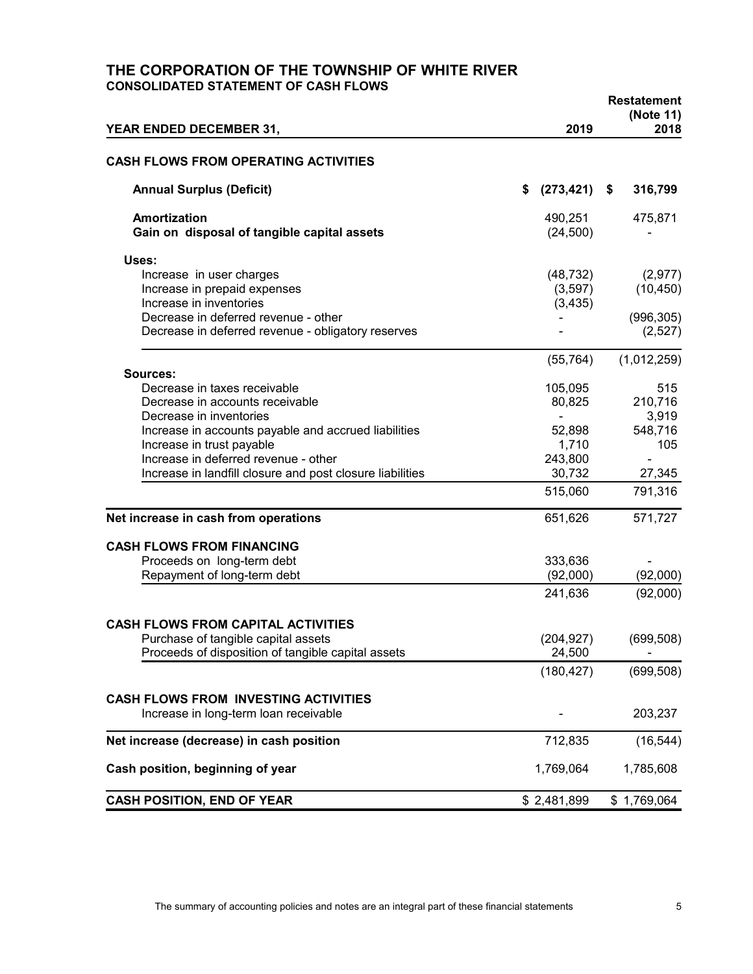# **THE CORPORATION OF THE TOWNSHIP OF WHITE RIVER CONSOLIDATED STATEMENT OF CASH FLOWS**

| YEAR ENDED DECEMBER 31,                                                              | 2019                  | <b>Restatement</b><br>(Note 11)<br>2018 |
|--------------------------------------------------------------------------------------|-----------------------|-----------------------------------------|
| <b>CASH FLOWS FROM OPERATING ACTIVITIES</b>                                          |                       |                                         |
| <b>Annual Surplus (Deficit)</b>                                                      | $(273, 421)$ \$<br>\$ | 316,799                                 |
| Amortization<br>Gain on disposal of tangible capital assets                          | 490,251<br>(24, 500)  | 475,871                                 |
| Uses:                                                                                |                       |                                         |
| Increase in user charges                                                             | (48, 732)             | (2, 977)                                |
| Increase in prepaid expenses                                                         | (3, 597)              | (10, 450)                               |
| Increase in inventories                                                              | (3, 435)              |                                         |
| Decrease in deferred revenue - other                                                 |                       | (996, 305)                              |
| Decrease in deferred revenue - obligatory reserves                                   |                       | (2,527)                                 |
|                                                                                      | (55, 764)             | (1,012,259)                             |
| Sources:<br>Decrease in taxes receivable                                             | 105,095               | 515                                     |
| Decrease in accounts receivable                                                      | 80,825                | 210,716                                 |
| Decrease in inventories                                                              |                       | 3,919                                   |
| Increase in accounts payable and accrued liabilities                                 | 52,898                | 548,716                                 |
| Increase in trust payable                                                            | 1,710                 | 105                                     |
| Increase in deferred revenue - other                                                 | 243,800               |                                         |
| Increase in landfill closure and post closure liabilities                            | 30,732                | 27,345                                  |
|                                                                                      | 515,060               | 791,316                                 |
| Net increase in cash from operations                                                 | 651,626               | 571,727                                 |
| <b>CASH FLOWS FROM FINANCING</b>                                                     |                       |                                         |
| Proceeds on long-term debt                                                           | 333,636               |                                         |
| Repayment of long-term debt                                                          | (92,000)              | (92,000)                                |
|                                                                                      | 241,636               | (92,000)                                |
| <b>CASH FLOWS FROM CAPITAL ACTIVITIES</b>                                            |                       |                                         |
| Purchase of tangible capital assets                                                  | (204, 927)            | (699, 508)                              |
| Proceeds of disposition of tangible capital assets                                   | 24,500                |                                         |
|                                                                                      | (180, 427)            | (699, 508)                              |
|                                                                                      |                       |                                         |
| <b>CASH FLOWS FROM INVESTING ACTIVITIES</b><br>Increase in long-term loan receivable |                       | 203,237                                 |
|                                                                                      |                       |                                         |
| Net increase (decrease) in cash position                                             | 712,835               | (16, 544)                               |
| Cash position, beginning of year                                                     | 1,769,064             | 1,785,608                               |
| <b>CASH POSITION, END OF YEAR</b>                                                    | \$2,481,899           | \$1,769,064                             |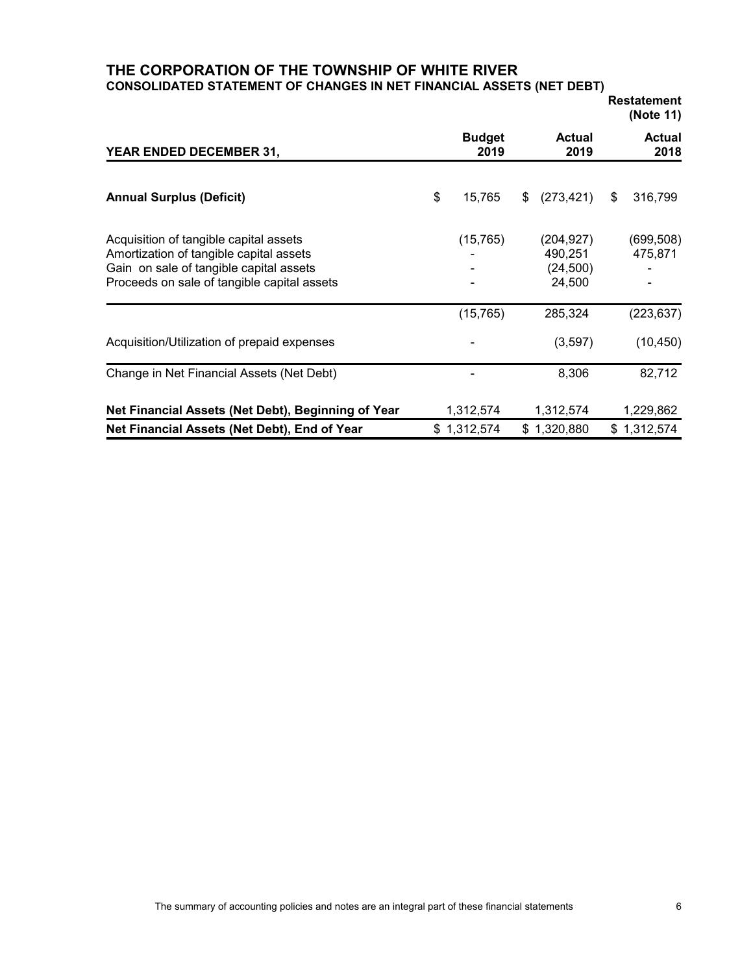# **THE CORPORATION OF THE TOWNSHIP OF WHITE RIVER CONSOLIDATED STATEMENT OF CHANGES IN NET FINANCIAL ASSETS (NET DEBT)**

**Restatement (Note 11)**

|                                                    |                       |                       | $(1100 \text{C} \cdot 11)$ |
|----------------------------------------------------|-----------------------|-----------------------|----------------------------|
| YEAR ENDED DECEMBER 31,                            | <b>Budget</b><br>2019 | <b>Actual</b><br>2019 | <b>Actual</b><br>2018      |
|                                                    |                       |                       |                            |
| <b>Annual Surplus (Deficit)</b>                    | \$<br>15,765          | \$<br>(273, 421)      | \$<br>316,799              |
| Acquisition of tangible capital assets             | (15, 765)             | (204, 927)            | (699, 508)                 |
| Amortization of tangible capital assets            |                       | 490,251               | 475,871                    |
| Gain on sale of tangible capital assets            |                       | (24, 500)             |                            |
| Proceeds on sale of tangible capital assets        |                       | 24,500                |                            |
|                                                    | (15, 765)             | 285,324               | (223, 637)                 |
| Acquisition/Utilization of prepaid expenses        |                       | (3,597)               | (10, 450)                  |
| Change in Net Financial Assets (Net Debt)          |                       | 8,306                 | 82,712                     |
| Net Financial Assets (Net Debt), Beginning of Year | 1,312,574             | 1,312,574             | 1,229,862                  |
| Net Financial Assets (Net Debt), End of Year       | \$1,312,574           | \$1,320,880           | \$1,312,574                |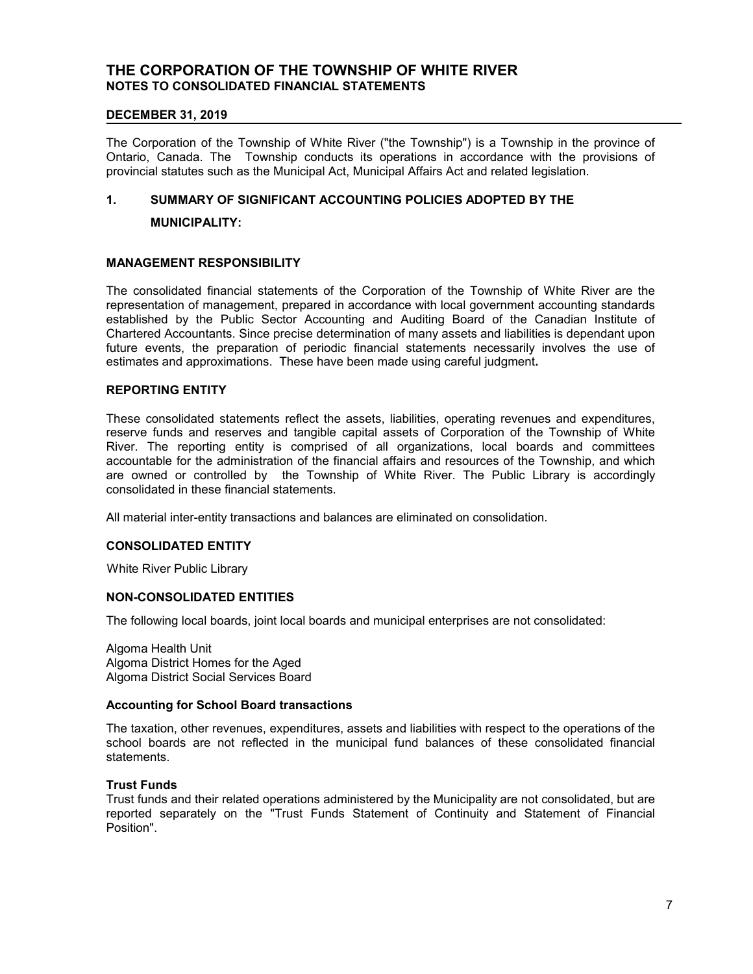## **DECEMBER 31, 2019**

The Corporation of the Township of White River ("the Township") is a Township in the province of Ontario, Canada. The Township conducts its operations in accordance with the provisions of provincial statutes such as the Municipal Act, Municipal Affairs Act and related legislation.

# **1. SUMMARY OF SIGNIFICANT ACCOUNTING POLICIES ADOPTED BY THE**

### **MUNICIPALITY:**

# **MANAGEMENT RESPONSIBILITY**

The consolidated financial statements of the Corporation of the Township of White River are the representation of management, prepared in accordance with local government accounting standards established by the Public Sector Accounting and Auditing Board of the Canadian Institute of Chartered Accountants. Since precise determination of many assets and liabilities is dependant upon future events, the preparation of periodic financial statements necessarily involves the use of estimates and approximations. These have been made using careful judgment**.**

### **REPORTING ENTITY**

These consolidated statements reflect the assets, liabilities, operating revenues and expenditures, reserve funds and reserves and tangible capital assets of Corporation of the Township of White River. The reporting entity is comprised of all organizations, local boards and committees accountable for the administration of the financial affairs and resources of the Township, and which are owned or controlled by the Township of White River. The Public Library is accordingly consolidated in these financial statements.

All material inter-entity transactions and balances are eliminated on consolidation.

### **CONSOLIDATED ENTITY**

White River Public Library

### **NON-CONSOLIDATED ENTITIES**

The following local boards, joint local boards and municipal enterprises are not consolidated:

Algoma Health Unit Algoma District Homes for the Aged Algoma District Social Services Board

#### **Accounting for School Board transactions**

The taxation, other revenues, expenditures, assets and liabilities with respect to the operations of the school boards are not reflected in the municipal fund balances of these consolidated financial statements.

### **Trust Funds**

Trust funds and their related operations administered by the Municipality are not consolidated, but are reported separately on the "Trust Funds Statement of Continuity and Statement of Financial Position".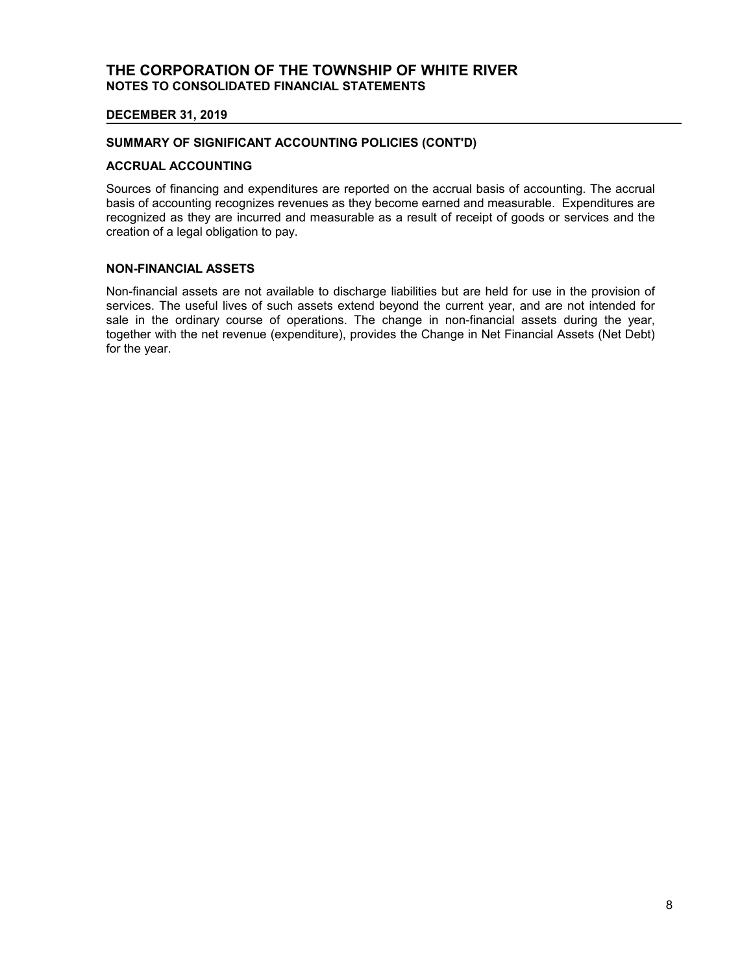### **DECEMBER 31, 2019**

# **SUMMARY OF SIGNIFICANT ACCOUNTING POLICIES (CONT'D)**

### **ACCRUAL ACCOUNTING**

Sources of financing and expenditures are reported on the accrual basis of accounting. The accrual basis of accounting recognizes revenues as they become earned and measurable. Expenditures are recognized as they are incurred and measurable as a result of receipt of goods or services and the creation of a legal obligation to pay.

### **NON-FINANCIAL ASSETS**

Non-financial assets are not available to discharge liabilities but are held for use in the provision of services. The useful lives of such assets extend beyond the current year, and are not intended for sale in the ordinary course of operations. The change in non-financial assets during the year, together with the net revenue (expenditure), provides the Change in Net Financial Assets (Net Debt) for the year.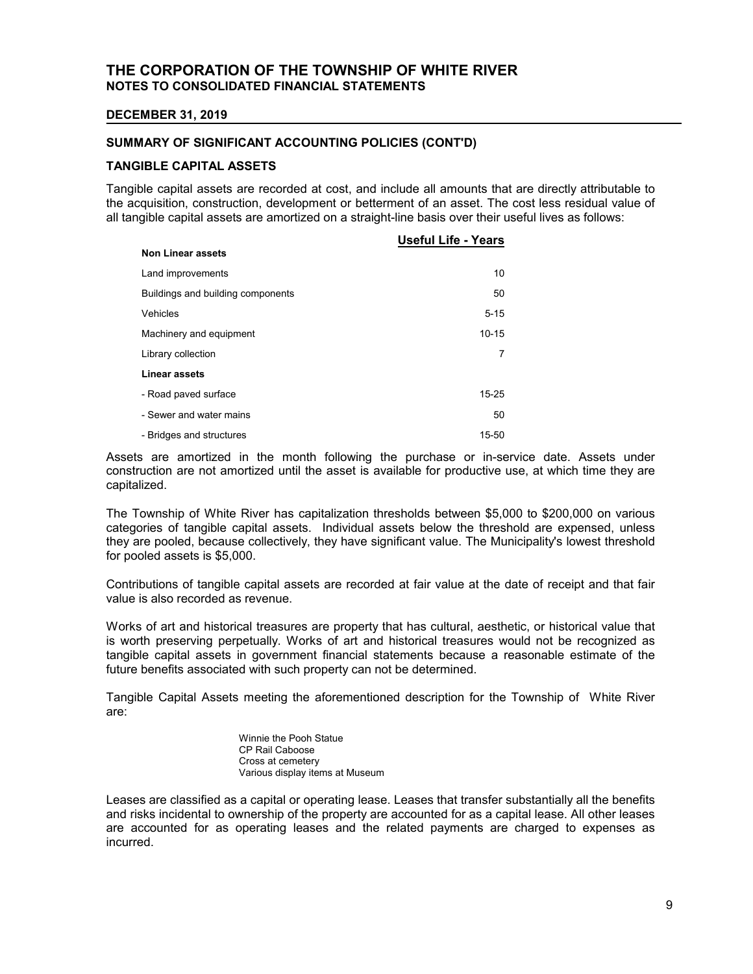### **DECEMBER 31, 2019**

# **SUMMARY OF SIGNIFICANT ACCOUNTING POLICIES (CONT'D)**

### **TANGIBLE CAPITAL ASSETS**

Tangible capital assets are recorded at cost, and include all amounts that are directly attributable to the acquisition, construction, development or betterment of an asset. The cost less residual value of all tangible capital assets are amortized on a straight-line basis over their useful lives as follows:

|                                   | <b>Useful Life - Years</b> |
|-----------------------------------|----------------------------|
| <b>Non Linear assets</b>          |                            |
| Land improvements                 | 10                         |
| Buildings and building components | 50                         |
| Vehicles                          | $5 - 15$                   |
| Machinery and equipment           | $10 - 15$                  |
| Library collection                | 7                          |
| <b>Linear assets</b>              |                            |
| - Road paved surface              | $15 - 25$                  |
| - Sewer and water mains           | 50                         |
| - Bridges and structures          | 15-50                      |

Assets are amortized in the month following the purchase or in-service date. Assets under construction are not amortized until the asset is available for productive use, at which time they are capitalized.

The Township of White River has capitalization thresholds between \$5,000 to \$200,000 on various categories of tangible capital assets. Individual assets below the threshold are expensed, unless they are pooled, because collectively, they have significant value. The Municipality's lowest threshold for pooled assets is \$5,000.

Contributions of tangible capital assets are recorded at fair value at the date of receipt and that fair value is also recorded as revenue.

Works of art and historical treasures are property that has cultural, aesthetic, or historical value that is worth preserving perpetually. Works of art and historical treasures would not be recognized as tangible capital assets in government financial statements because a reasonable estimate of the future benefits associated with such property can not be determined.

Tangible Capital Assets meeting the aforementioned description for the Township of White River are:

> Winnie the Pooh Statue CP Rail Caboose Cross at cemetery Various display items at Museum

Leases are classified as a capital or operating lease. Leases that transfer substantially all the benefits and risks incidental to ownership of the property are accounted for as a capital lease. All other leases are accounted for as operating leases and the related payments are charged to expenses as incurred.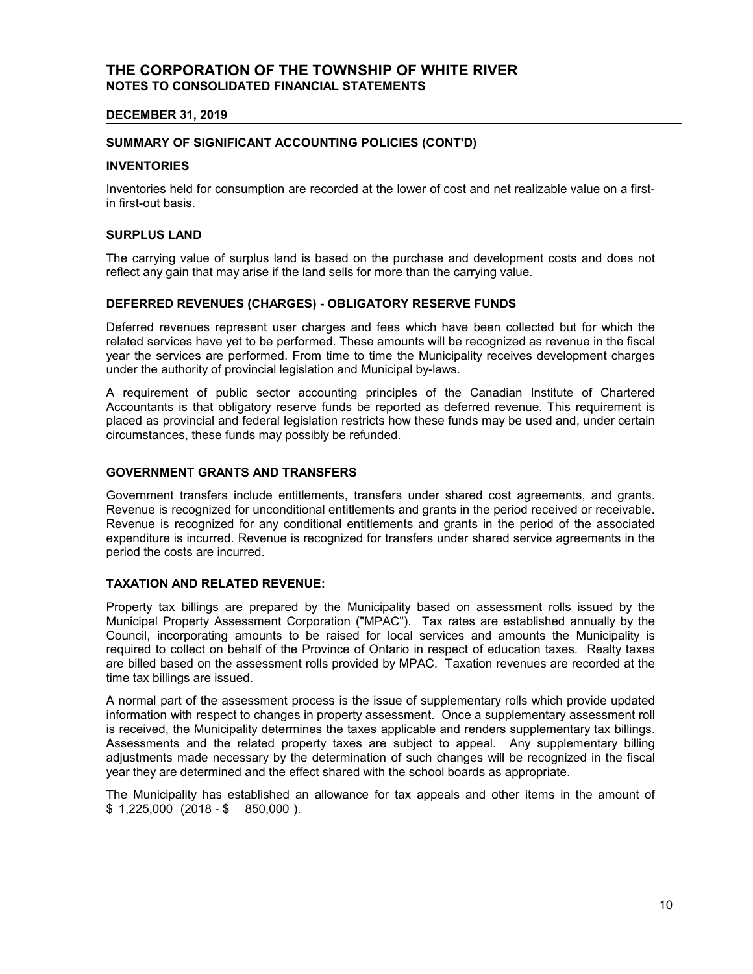## **DECEMBER 31, 2019**

# **SUMMARY OF SIGNIFICANT ACCOUNTING POLICIES (CONT'D)**

### **INVENTORIES**

Inventories held for consumption are recorded at the lower of cost and net realizable value on a firstin first-out basis.

### **SURPLUS LAND**

The carrying value of surplus land is based on the purchase and development costs and does not reflect any gain that may arise if the land sells for more than the carrying value.

### **DEFERRED REVENUES (CHARGES) - OBLIGATORY RESERVE FUNDS**

Deferred revenues represent user charges and fees which have been collected but for which the related services have yet to be performed. These amounts will be recognized as revenue in the fiscal year the services are performed. From time to time the Municipality receives development charges under the authority of provincial legislation and Municipal by-laws.

A requirement of public sector accounting principles of the Canadian Institute of Chartered Accountants is that obligatory reserve funds be reported as deferred revenue. This requirement is placed as provincial and federal legislation restricts how these funds may be used and, under certain circumstances, these funds may possibly be refunded.

#### **GOVERNMENT GRANTS AND TRANSFERS**

Government transfers include entitlements, transfers under shared cost agreements, and grants. Revenue is recognized for unconditional entitlements and grants in the period received or receivable. Revenue is recognized for any conditional entitlements and grants in the period of the associated expenditure is incurred. Revenue is recognized for transfers under shared service agreements in the period the costs are incurred.

### **TAXATION AND RELATED REVENUE:**

Property tax billings are prepared by the Municipality based on assessment rolls issued by the Municipal Property Assessment Corporation ("MPAC"). Tax rates are established annually by the Council, incorporating amounts to be raised for local services and amounts the Municipality is required to collect on behalf of the Province of Ontario in respect of education taxes. Realty taxes are billed based on the assessment rolls provided by MPAC. Taxation revenues are recorded at the time tax billings are issued.

A normal part of the assessment process is the issue of supplementary rolls which provide updated information with respect to changes in property assessment. Once a supplementary assessment roll is received, the Municipality determines the taxes applicable and renders supplementary tax billings. Assessments and the related property taxes are subject to appeal. Any supplementary billing adjustments made necessary by the determination of such changes will be recognized in the fiscal year they are determined and the effect shared with the school boards as appropriate.

The Municipality has established an allowance for tax appeals and other items in the amount of \$ 1,225,000 (2018 - \$ 850,000 ).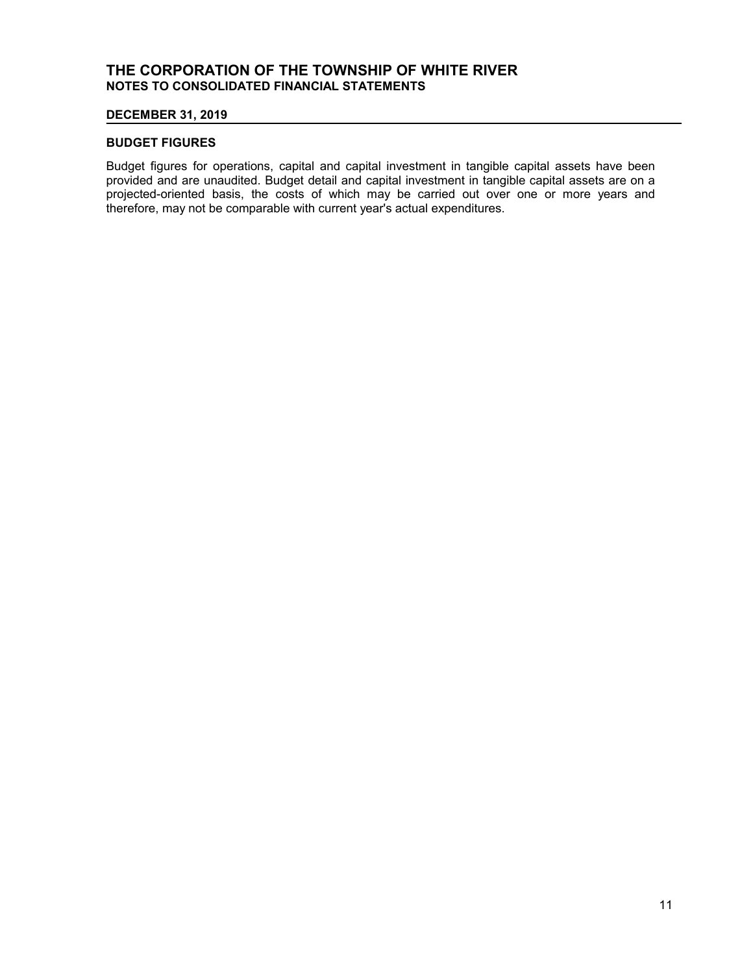# **DECEMBER 31, 2019**

# **BUDGET FIGURES**

Budget figures for operations, capital and capital investment in tangible capital assets have been provided and are unaudited. Budget detail and capital investment in tangible capital assets are on a projected-oriented basis, the costs of which may be carried out over one or more years and therefore, may not be comparable with current year's actual expenditures.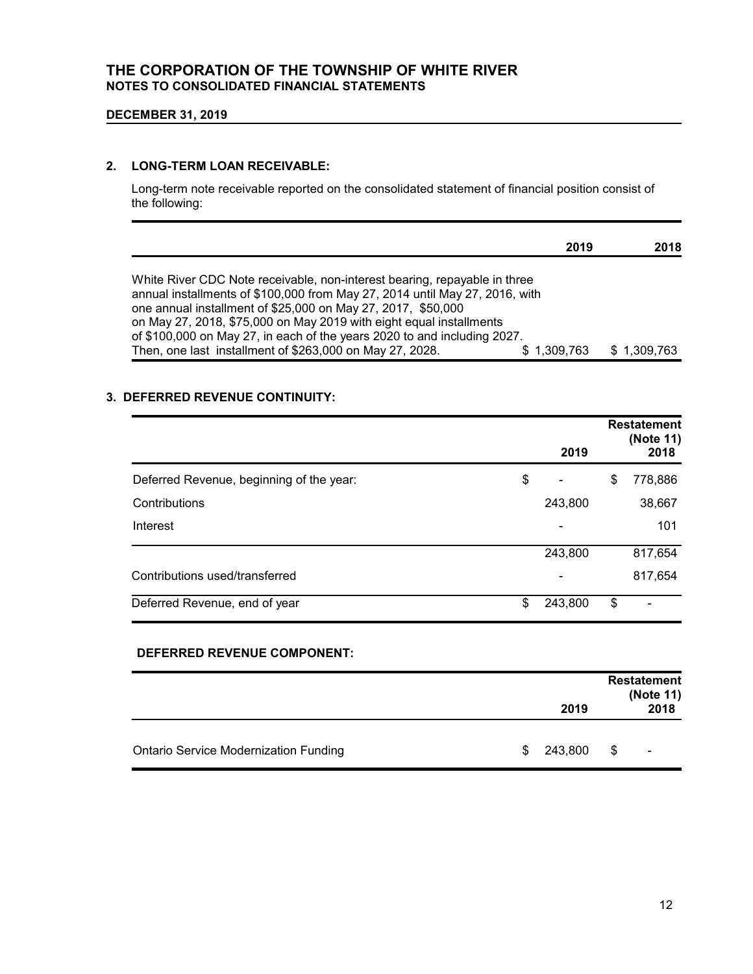# **DECEMBER 31, 2019**

# **2. LONG-TERM LOAN RECEIVABLE:**

Long-term note receivable reported on the consolidated statement of financial position consist of the following:

|                                                                                                                                                                                                                                                                                                 | 2019        | 2018        |
|-------------------------------------------------------------------------------------------------------------------------------------------------------------------------------------------------------------------------------------------------------------------------------------------------|-------------|-------------|
| White River CDC Note receivable, non-interest bearing, repayable in three<br>annual installments of \$100,000 from May 27, 2014 until May 27, 2016, with<br>one annual installment of \$25,000 on May 27, 2017, \$50,000<br>on May 27, 2018, \$75,000 on May 2019 with eight equal installments |             |             |
| of \$100,000 on May 27, in each of the years 2020 to and including 2027.                                                                                                                                                                                                                        |             |             |
| Then, one last installment of \$263,000 on May 27, 2028.                                                                                                                                                                                                                                        | \$1,309,763 | \$1,309,763 |

# **3. DEFERRED REVENUE CONTINUITY:**

|                                          |               | <b>Restatement</b><br>(Note 11) |
|------------------------------------------|---------------|---------------------------------|
|                                          | 2019          | 2018                            |
| Deferred Revenue, beginning of the year: | \$            | \$<br>778,886                   |
| Contributions                            | 243,800       | 38,667                          |
| Interest                                 | ٠             | 101                             |
|                                          | 243,800       | 817,654                         |
| Contributions used/transferred           |               | 817,654                         |
| Deferred Revenue, end of year            | \$<br>243,800 | \$                              |

# **DEFERRED REVENUE COMPONENT:**

|                                              |     | 2019    | <b>Restatement</b><br>(Note 11)<br>2018 |
|----------------------------------------------|-----|---------|-----------------------------------------|
| <b>Ontario Service Modernization Funding</b> | \$. | 243,800 | \$<br>$\blacksquare$                    |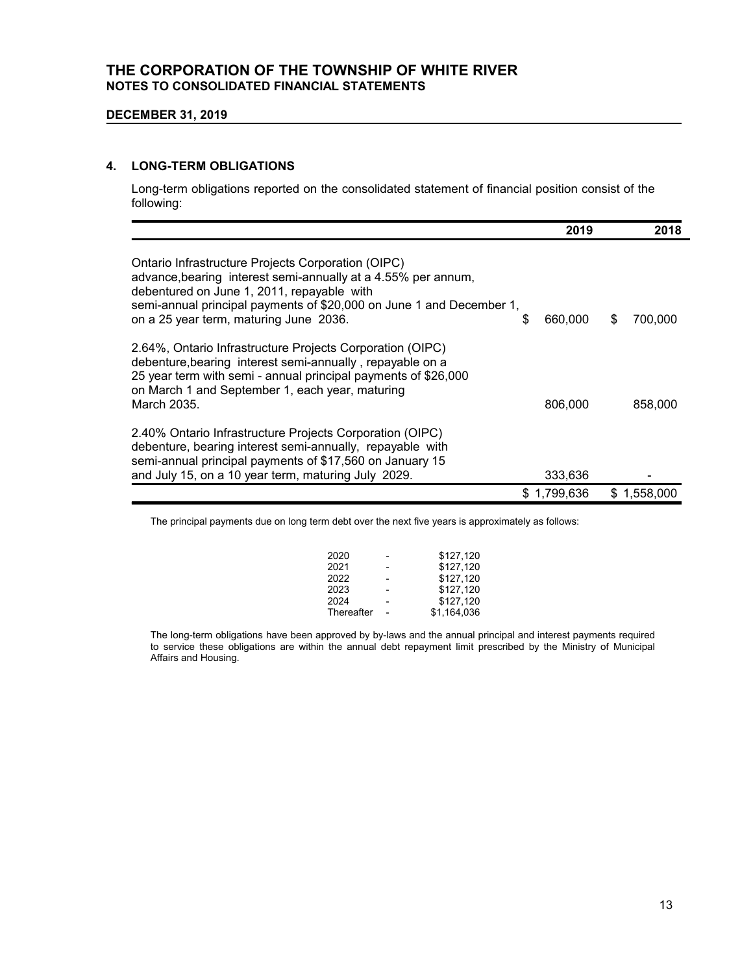# **DECEMBER 31, 2019**

## **4. LONG-TERM OBLIGATIONS**

Long-term obligations reported on the consolidated statement of financial position consist of the following:

|                                                                                                                                                                                                                                                                                     | 2019            | 2018         |
|-------------------------------------------------------------------------------------------------------------------------------------------------------------------------------------------------------------------------------------------------------------------------------------|-----------------|--------------|
| Ontario Infrastructure Projects Corporation (OIPC)<br>advance, bearing interest semi-annually at a 4.55% per annum,<br>debentured on June 1, 2011, repayable with<br>semi-annual principal payments of \$20,000 on June 1 and December 1,<br>on a 25 year term, maturing June 2036. | \$<br>660,000   | 700.000<br>S |
| 2.64%, Ontario Infrastructure Projects Corporation (OIPC)<br>debenture, bearing interest semi-annually, repayable on a<br>25 year term with semi - annual principal payments of \$26,000<br>on March 1 and September 1, each year, maturing<br>March 2035.                          | 806,000         | 858,000      |
| 2.40% Ontario Infrastructure Projects Corporation (OIPC)<br>debenture, bearing interest semi-annually, repayable with<br>semi-annual principal payments of \$17,560 on January 15<br>and July 15, on a 10 year term, maturing July 2029.                                            | 333,636         |              |
|                                                                                                                                                                                                                                                                                     | 1,799,636<br>S. | \$1.558,000  |

The principal payments due on long term debt over the next five years is approximately as follows:

| 2020       | \$127.120   |
|------------|-------------|
| 2021       | \$127.120   |
| 2022       | \$127.120   |
| 2023       | \$127.120   |
| 2024       | \$127.120   |
| Thereafter | \$1.164.036 |

The long-term obligations have been approved by by-laws and the annual principal and interest payments required to service these obligations are within the annual debt repayment limit prescribed by the Ministry of Municipal Affairs and Housing.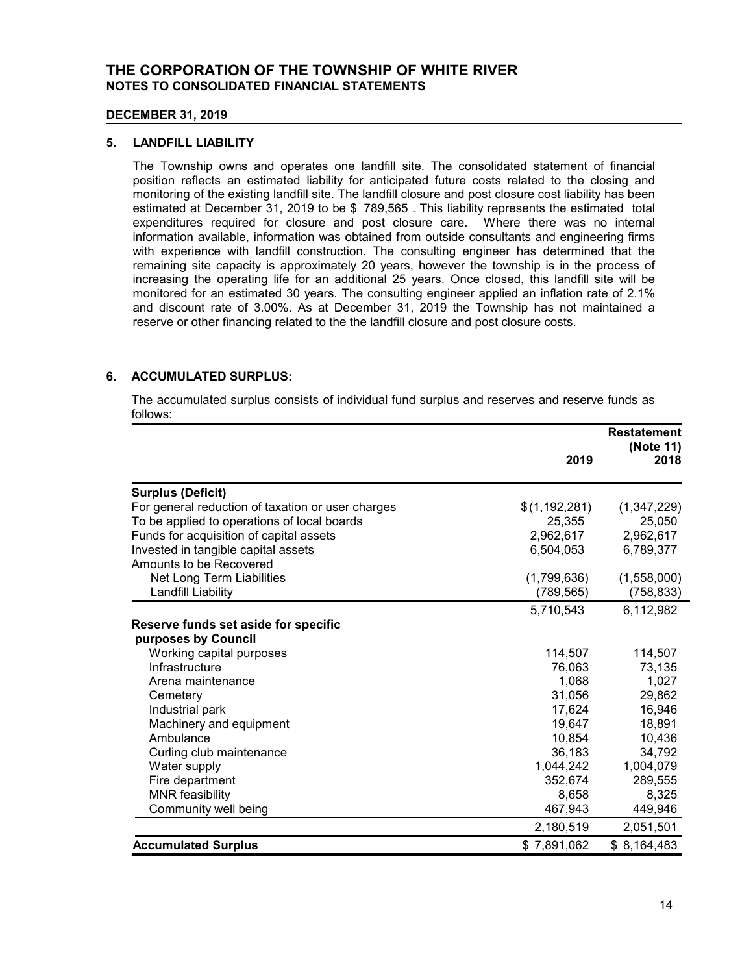### **DECEMBER 31, 2019**

# **5. LANDFILL LIABILITY**

The Township owns and operates one landfill site. The consolidated statement of financial position reflects an estimated liability for anticipated future costs related to the closing and monitoring of the existing landfill site. The landfill closure and post closure cost liability has been estimated at December 31, 2019 to be \$ 789,565 . This liability represents the estimated total expenditures required for closure and post closure care. Where there was no internal information available, information was obtained from outside consultants and engineering firms with experience with landfill construction. The consulting engineer has determined that the remaining site capacity is approximately 20 years, however the township is in the process of increasing the operating life for an additional 25 years. Once closed, this landfill site will be monitored for an estimated 30 years. The consulting engineer applied an inflation rate of 2.1% and discount rate of 3.00%. As at December 31, 2019 the Township has not maintained a reserve or other financing related to the the landfill closure and post closure costs.

# **6. ACCUMULATED SURPLUS:**

The accumulated surplus consists of individual fund surplus and reserves and reserve funds as follows:

|                                                   | 2019            | <b>Restatement</b><br>(Note 11)<br>2018 |
|---------------------------------------------------|-----------------|-----------------------------------------|
|                                                   |                 |                                         |
| <b>Surplus (Deficit)</b>                          |                 |                                         |
| For general reduction of taxation or user charges | \$(1, 192, 281) | (1,347,229)                             |
| To be applied to operations of local boards       | 25,355          | 25,050                                  |
| Funds for acquisition of capital assets           | 2,962,617       | 2,962,617                               |
| Invested in tangible capital assets               | 6,504,053       | 6,789,377                               |
| Amounts to be Recovered                           |                 |                                         |
| Net Long Term Liabilities                         | (1,799,636)     | (1,558,000)                             |
| Landfill Liability                                | (789, 565)      | (758, 833)                              |
|                                                   | 5,710,543       | 6,112,982                               |
| Reserve funds set aside for specific              |                 |                                         |
| purposes by Council                               |                 |                                         |
| Working capital purposes                          | 114,507         | 114,507                                 |
| Infrastructure                                    | 76,063          | 73,135                                  |
| Arena maintenance                                 | 1,068           | 1,027                                   |
| Cemetery                                          | 31,056          | 29,862                                  |
| Industrial park                                   | 17,624          | 16,946                                  |
| Machinery and equipment                           | 19,647          | 18,891                                  |
| Ambulance                                         | 10,854          | 10,436                                  |
| Curling club maintenance                          | 36,183          | 34,792                                  |
| Water supply                                      | 1,044,242       | 1,004,079                               |
| Fire department                                   | 352,674         | 289,555                                 |
| <b>MNR</b> feasibility                            | 8,658           | 8,325                                   |
| Community well being                              | 467,943         | 449,946                                 |
|                                                   | 2,180,519       | 2,051,501                               |
| <b>Accumulated Surplus</b>                        | \$7,891,062     | \$8,164,483                             |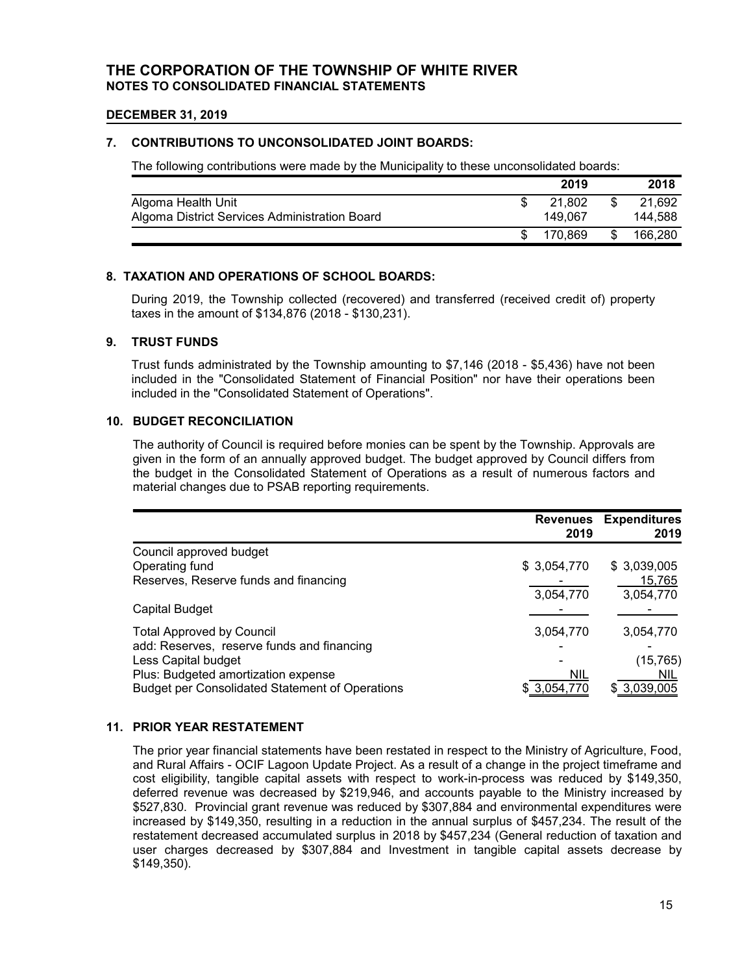# **DECEMBER 31, 2019**

# **7. CONTRIBUTIONS TO UNCONSOLIDATED JOINT BOARDS:**

The following contributions were made by the Municipality to these unconsolidated boards:

|                                               | 2019    | 2018    |
|-----------------------------------------------|---------|---------|
| Algoma Health Unit                            | 21.802  | 21.692  |
| Algoma District Services Administration Board | 149.067 | 144.588 |
|                                               | 170.869 | 166.280 |

### **8. TAXATION AND OPERATIONS OF SCHOOL BOARDS:**

During 2019, the Township collected (recovered) and transferred (received credit of) property taxes in the amount of \$134,876 (2018 - \$130,231).

### **9. TRUST FUNDS**

Trust funds administrated by the Township amounting to \$7,146 (2018 - \$5,436) have not been included in the "Consolidated Statement of Financial Position" nor have their operations been included in the "Consolidated Statement of Operations".

# **10. BUDGET RECONCILIATION**

The authority of Council is required before monies can be spent by the Township. Approvals are given in the form of an annually approved budget. The budget approved by Council differs from the budget in the Consolidated Statement of Operations as a result of numerous factors and material changes due to PSAB reporting requirements.

|                                                        | <b>Revenues</b><br>2019 | <b>Expenditures</b><br>2019 |
|--------------------------------------------------------|-------------------------|-----------------------------|
| Council approved budget                                |                         |                             |
| Operating fund                                         | \$ 3,054,770            | \$3,039,005                 |
| Reserves, Reserve funds and financing                  |                         | 15,765                      |
|                                                        | 3,054,770               | 3,054,770                   |
| Capital Budget                                         |                         |                             |
| <b>Total Approved by Council</b>                       | 3,054,770               | 3,054,770                   |
| add: Reserves, reserve funds and financing             |                         |                             |
| Less Capital budget                                    |                         | (15, 765)                   |
| Plus: Budgeted amortization expense                    | NIL                     | <b>NIL</b>                  |
| <b>Budget per Consolidated Statement of Operations</b> | 3.054.770               | \$3,039,005                 |

# **11. PRIOR YEAR RESTATEMENT**

The prior year financial statements have been restated in respect to the Ministry of Agriculture, Food, and Rural Affairs - OCIF Lagoon Update Project. As a result of a change in the project timeframe and cost eligibility, tangible capital assets with respect to work-in-process was reduced by \$149,350, deferred revenue was decreased by \$219,946, and accounts payable to the Ministry increased by \$527,830. Provincial grant revenue was reduced by \$307,884 and environmental expenditures were increased by \$149,350, resulting in a reduction in the annual surplus of \$457,234. The result of the restatement decreased accumulated surplus in 2018 by \$457,234 (General reduction of taxation and user charges decreased by \$307,884 and Investment in tangible capital assets decrease by \$149,350).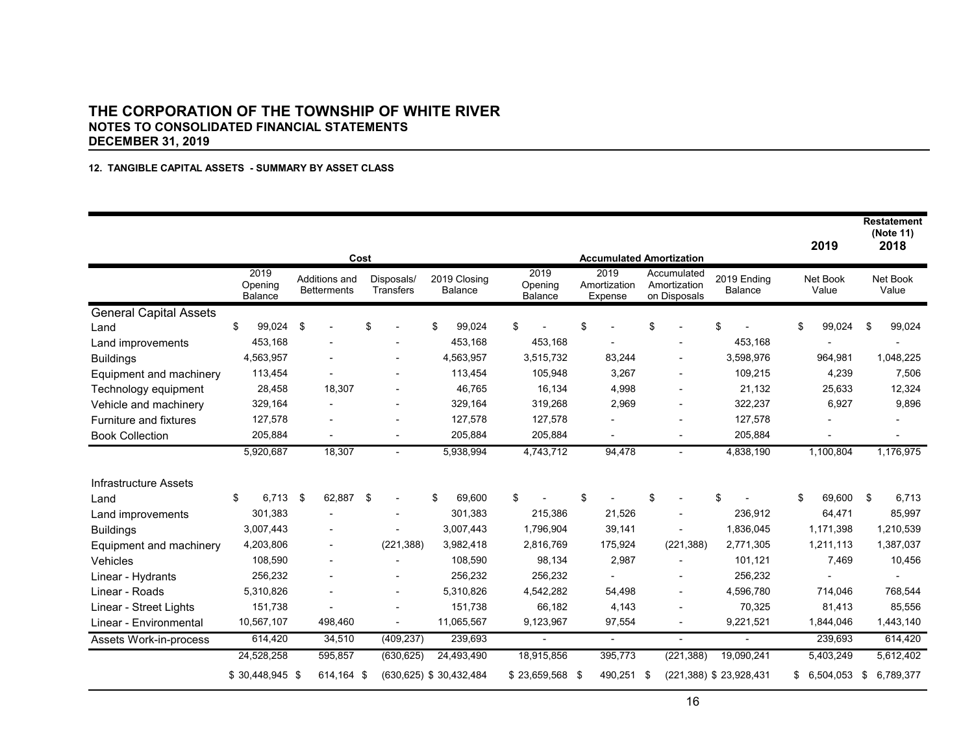#### **12. TANGIBLE CAPITAL ASSETS - SUMMARY BY ASSET CLASS**

|                               |                            |                                     |                    |                                |                            |                                 |                            |    |                                 |     |                                             |    |                        |                   | 2019      |                   | <b>Restatement</b><br>(Note 11)<br>2018 |
|-------------------------------|----------------------------|-------------------------------------|--------------------|--------------------------------|----------------------------|---------------------------------|----------------------------|----|---------------------------------|-----|---------------------------------------------|----|------------------------|-------------------|-----------|-------------------|-----------------------------------------|
|                               |                            |                                     | Cost               |                                |                            | <b>Accumulated Amortization</b> |                            |    |                                 |     |                                             |    |                        |                   |           |                   |                                         |
|                               | 2019<br>Opening<br>Balance | Additions and<br><b>Betterments</b> |                    | Disposals/<br><b>Transfers</b> | 2019 Closing<br>Balance    |                                 | 2019<br>Opening<br>Balance |    | 2019<br>Amortization<br>Expense |     | Accumulated<br>Amortization<br>on Disposals |    | 2019 Ending<br>Balance | Net Book<br>Value |           | Net Book<br>Value |                                         |
| <b>General Capital Assets</b> |                            |                                     |                    |                                |                            |                                 |                            |    |                                 |     |                                             |    |                        |                   |           |                   |                                         |
| Land                          | \$<br>99,024               | \$                                  | \$                 |                                | \$<br>99,024               | \$                              |                            | \$ |                                 | \$  |                                             |    |                        | \$                | 99,024    | \$                | 99,024                                  |
| Land improvements             | 453,168                    |                                     |                    |                                | 453,168                    |                                 | 453,168                    |    |                                 |     |                                             |    | 453,168                |                   |           |                   |                                         |
| <b>Buildings</b>              | 4,563,957                  |                                     |                    |                                | 4,563,957                  |                                 | 3,515,732                  |    | 83,244                          |     | L,                                          |    | 3,598,976              |                   | 964,981   |                   | 1,048,225                               |
| Equipment and machinery       | 113,454                    |                                     |                    |                                | 113,454                    |                                 | 105,948                    |    | 3,267                           |     | $\blacksquare$                              |    | 109,215                |                   | 4,239     |                   | 7,506                                   |
| Technology equipment          | 28,458                     | 18,307                              |                    |                                | 46,765                     |                                 | 16,134                     |    | 4,998                           |     | $\qquad \qquad \blacksquare$                |    | 21,132                 |                   | 25,633    |                   | 12,324                                  |
| Vehicle and machinery         | 329,164                    |                                     |                    |                                | 329,164                    |                                 | 319,268                    |    | 2,969                           |     | ٠                                           |    | 322,237                |                   | 6,927     |                   | 9,896                                   |
| <b>Furniture and fixtures</b> | 127,578                    |                                     |                    |                                | 127,578                    |                                 | 127,578                    |    |                                 |     | L,                                          |    | 127,578                |                   |           |                   |                                         |
| <b>Book Collection</b>        | 205,884                    |                                     |                    |                                | 205,884                    |                                 | 205,884                    |    |                                 |     | $\overline{\phantom{0}}$                    |    | 205,884                |                   |           |                   |                                         |
|                               | 5,920,687                  | 18,307                              |                    | $\blacksquare$                 | 5,938,994                  |                                 | 4,743,712                  |    | 94,478                          |     | $\overline{a}$                              |    | 4,838,190              |                   | 1,100,804 |                   | 1,176,975                               |
| Infrastructure Assets         |                            |                                     |                    |                                |                            |                                 |                            |    |                                 |     |                                             |    |                        |                   |           |                   |                                         |
| Land                          | \$<br>6,713                | \$<br>62,887                        | $\mathbf{\hat{s}}$ | $\overline{a}$                 | \$<br>69,600               | \$                              |                            | \$ |                                 | \$  |                                             | \$ |                        | \$                | 69,600    | -\$               | 6,713                                   |
| Land improvements             | 301,383                    |                                     |                    |                                | 301,383                    |                                 | 215,386                    |    | 21,526                          |     |                                             |    | 236,912                |                   | 64,471    |                   | 85,997                                  |
| <b>Buildings</b>              | 3,007,443                  |                                     |                    |                                | 3,007,443                  |                                 | 1,796,904                  |    | 39,141                          |     |                                             |    | 1,836,045              |                   | 1,171,398 |                   | 1,210,539                               |
| Equipment and machinery       | 4,203,806                  |                                     |                    | (221, 388)                     | 3,982,418                  |                                 | 2,816,769                  |    | 175,924                         |     | (221, 388)                                  |    | 2,771,305              |                   | 1,211,113 |                   | 1,387,037                               |
| Vehicles                      | 108,590                    |                                     |                    |                                | 108,590                    |                                 | 98,134                     |    | 2,987                           |     |                                             |    | 101,121                |                   | 7,469     |                   | 10,456                                  |
| Linear - Hydrants             | 256,232                    |                                     |                    |                                | 256,232                    |                                 | 256,232                    |    |                                 |     |                                             |    | 256,232                |                   |           |                   |                                         |
| Linear - Roads                | 5,310,826                  |                                     |                    |                                | 5,310,826                  |                                 | 4,542,282                  |    | 54,498                          |     | $\overline{\phantom{0}}$                    |    | 4,596,780              |                   | 714,046   |                   | 768,544                                 |
| Linear - Street Lights        | 151,738                    |                                     |                    |                                | 151,738                    |                                 | 66,182                     |    | 4,143                           |     | $\overline{\phantom{0}}$                    |    | 70,325                 |                   | 81,413    |                   | 85,556                                  |
| Linear - Environmental        | 10,567,107                 | 498,460                             |                    |                                | 11,065,567                 |                                 | 9,123,967                  |    | 97,554                          |     | $\overline{\phantom{0}}$                    |    | 9,221,521              |                   | 1,844,046 |                   | 1,443,140                               |
| Assets Work-in-process        | 614,420                    | 34,510                              |                    | (409, 237)                     | 239,693                    |                                 | $\blacksquare$             |    | $\overline{\phantom{a}}$        |     | $\overline{a}$                              |    | $\blacksquare$         |                   | 239,693   |                   | 614,420                                 |
|                               | 24,528,258                 | 595,857                             |                    | (630, 625)                     | 24,493,490                 |                                 | 18,915,856                 |    | 395,773                         |     | (221, 388)                                  |    | 19,090,241             |                   | 5,403,249 |                   | 5,612,402                               |
|                               | $$30,448,945$ \$           | 614,164 \$                          |                    |                                | (630, 625) \$ 30, 432, 484 |                                 | $$23,659,568$ \$           |    | 490,251                         | -\$ |                                             |    | (221,388) \$23,928,431 | \$                | 6,504,053 | \$                | 6,789,377                               |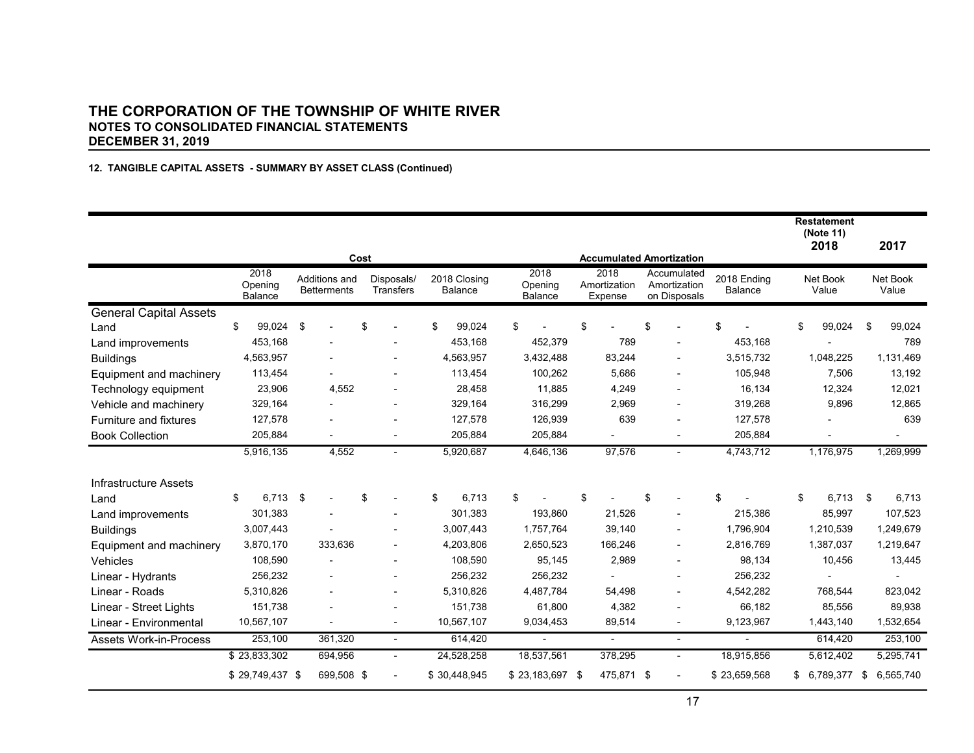# **12. TANGIBLE CAPITAL ASSETS - SUMMARY BY ASSET CLASS (Continued)**

|                               |    |                            |    |                                     |      |                                |    |                         |                                 |                            |    |                                 |    | <b>Restatement</b><br>(Note 11)<br>2018     |                               | 2017         |                   |             |      |                   |
|-------------------------------|----|----------------------------|----|-------------------------------------|------|--------------------------------|----|-------------------------|---------------------------------|----------------------------|----|---------------------------------|----|---------------------------------------------|-------------------------------|--------------|-------------------|-------------|------|-------------------|
|                               |    |                            |    |                                     | Cost |                                |    |                         | <b>Accumulated Amortization</b> |                            |    |                                 |    |                                             |                               |              |                   |             |      |                   |
|                               |    | 2018<br>Opening<br>Balance |    | Additions and<br><b>Betterments</b> |      | Disposals/<br><b>Transfers</b> |    | 2018 Closing<br>Balance |                                 | 2018<br>Opening<br>Balance |    | 2018<br>Amortization<br>Expense |    | Accumulated<br>Amortization<br>on Disposals | 2018 Ending<br><b>Balance</b> |              | Net Book<br>Value |             |      | Net Book<br>Value |
| <b>General Capital Assets</b> |    |                            |    |                                     |      |                                |    |                         |                                 |                            |    |                                 |    |                                             |                               |              |                   |             |      |                   |
| Land                          | \$ | 99,024                     | \$ |                                     | \$   |                                | \$ | 99,024                  | \$                              |                            |    |                                 | \$ |                                             | \$                            |              | \$                | 99,024      | \$   | 99,024            |
| Land improvements             |    | 453,168                    |    |                                     |      |                                |    | 453,168                 |                                 | 452,379                    |    | 789                             |    |                                             |                               | 453,168      |                   |             |      | 789               |
| <b>Buildings</b>              |    | 4,563,957                  |    |                                     |      |                                |    | 4,563,957               |                                 | 3,432,488                  |    | 83,244                          |    |                                             |                               | 3,515,732    |                   | 1,048,225   |      | 1,131,469         |
| Equipment and machinery       |    | 113,454                    |    |                                     |      |                                |    | 113,454                 |                                 | 100,262                    |    | 5,686                           |    |                                             |                               | 105,948      |                   | 7,506       |      | 13,192            |
| Technology equipment          |    | 23,906                     |    | 4,552                               |      |                                |    | 28,458                  |                                 | 11,885                     |    | 4,249                           |    |                                             |                               | 16,134       |                   | 12,324      |      | 12,021            |
| Vehicle and machinery         |    | 329,164                    |    |                                     |      |                                |    | 329,164                 |                                 | 316,299                    |    | 2,969                           |    |                                             |                               | 319,268      |                   | 9,896       |      | 12,865            |
| <b>Furniture and fixtures</b> |    | 127,578                    |    |                                     |      | $\overline{a}$                 |    | 127,578                 |                                 | 126,939                    |    | 639                             |    | $\overline{\phantom{a}}$                    |                               | 127,578      |                   |             |      | 639               |
| <b>Book Collection</b>        |    | 205,884                    |    |                                     |      |                                |    | 205,884                 |                                 | 205,884                    |    |                                 |    | $\blacksquare$                              |                               | 205,884      |                   |             |      |                   |
|                               |    | 5,916,135                  |    | 4,552                               |      | $\blacksquare$                 |    | 5,920,687               |                                 | 4,646,136                  |    | 97,576                          |    |                                             |                               | 4,743,712    |                   | 1,176,975   |      | 1,269,999         |
| <b>Infrastructure Assets</b>  |    |                            |    |                                     |      |                                |    |                         |                                 |                            |    |                                 |    |                                             |                               |              |                   |             |      |                   |
| Land                          | \$ | $6,713$ \$                 |    |                                     | \$   |                                | \$ | 6,713                   | \$                              |                            | \$ |                                 | \$ |                                             | \$                            |              | \$                | 6,713       | - \$ | 6,713             |
| Land improvements             |    | 301,383                    |    |                                     |      |                                |    | 301,383                 |                                 | 193,860                    |    | 21,526                          |    |                                             |                               | 215,386      |                   | 85,997      |      | 107,523           |
| <b>Buildings</b>              |    | 3,007,443                  |    |                                     |      |                                |    | 3,007,443               |                                 | 1,757,764                  |    | 39,140                          |    | $\overline{\phantom{a}}$                    |                               | 1,796,904    |                   | 1,210,539   |      | 1,249,679         |
| Equipment and machinery       |    | 3,870,170                  |    | 333,636                             |      |                                |    | 4,203,806               |                                 | 2,650,523                  |    | 166,246                         |    |                                             |                               | 2,816,769    |                   | 1,387,037   |      | 1,219,647         |
| Vehicles                      |    | 108,590                    |    |                                     |      |                                |    | 108,590                 |                                 | 95,145                     |    | 2,989                           |    |                                             |                               | 98,134       |                   | 10,456      |      | 13,445            |
| Linear - Hydrants             |    | 256,232                    |    |                                     |      | $\blacksquare$                 |    | 256,232                 |                                 | 256,232                    |    |                                 |    |                                             |                               | 256,232      |                   |             |      |                   |
| Linear - Roads                |    | 5,310,826                  |    |                                     |      | $\blacksquare$                 |    | 5,310,826               |                                 | 4,487,784                  |    | 54,498                          |    | $\overline{\phantom{a}}$                    |                               | 4,542,282    |                   | 768,544     |      | 823,042           |
| Linear - Street Lights        |    | 151,738                    |    |                                     |      |                                |    | 151,738                 |                                 | 61,800                     |    | 4,382                           |    |                                             |                               | 66,182       |                   | 85,556      |      | 89,938            |
| Linear - Environmental        |    | 10,567,107                 |    |                                     |      |                                |    | 10,567,107              |                                 | 9,034,453                  |    | 89,514                          |    | $\overline{\phantom{a}}$                    |                               | 9,123,967    |                   | 1,443,140   |      | 1,532,654         |
| <b>Assets Work-in-Process</b> |    | 253,100                    |    | 361,320                             |      | $\overline{a}$                 |    | 614,420                 |                                 | $\overline{a}$             |    | $\blacksquare$                  |    | $\overline{a}$                              |                               | $\mathbf{r}$ |                   | 614,420     |      | 253,100           |
|                               |    | \$23,833,302               |    | 694,956                             |      | $\overline{\phantom{0}}$       |    | 24,528,258              |                                 | 18,537,561                 |    | 378,295                         |    | $\overline{\phantom{a}}$                    |                               | 18,915,856   |                   | 5,612,402   |      | 5,295,741         |
|                               |    | $$29,749,437$ \$           |    | 699,508 \$                          |      |                                |    | \$30,448,945            |                                 | $$23,183,697$ \$           |    | 475,871                         | \$ |                                             |                               | \$23,659,568 |                   | \$6,789,377 | \$   | 6,565,740         |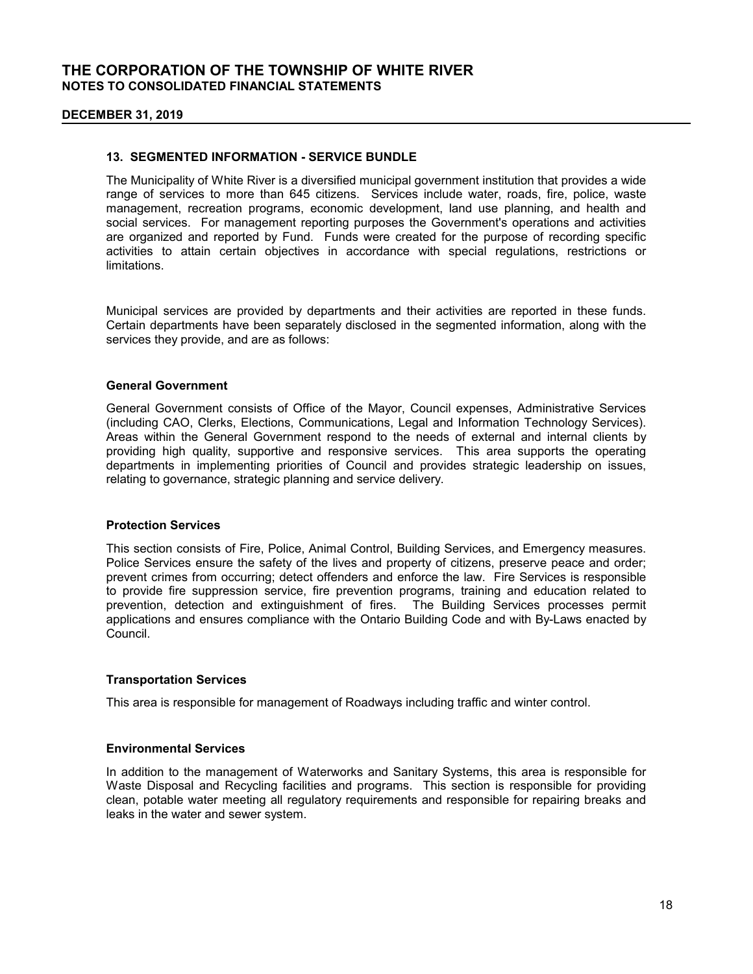## **DECEMBER 31, 2019**

### **13. SEGMENTED INFORMATION - SERVICE BUNDLE**

The Municipality of White River is a diversified municipal government institution that provides a wide range of services to more than 645 citizens. Services include water, roads, fire, police, waste management, recreation programs, economic development, land use planning, and health and social services. For management reporting purposes the Government's operations and activities are organized and reported by Fund. Funds were created for the purpose of recording specific activities to attain certain objectives in accordance with special regulations, restrictions or limitations.

Municipal services are provided by departments and their activities are reported in these funds. Certain departments have been separately disclosed in the segmented information, along with the services they provide, and are as follows:

### **General Government**

General Government consists of Office of the Mayor, Council expenses, Administrative Services (including CAO, Clerks, Elections, Communications, Legal and Information Technology Services). Areas within the General Government respond to the needs of external and internal clients by providing high quality, supportive and responsive services. This area supports the operating departments in implementing priorities of Council and provides strategic leadership on issues, relating to governance, strategic planning and service delivery.

### **Protection Services**

This section consists of Fire, Police, Animal Control, Building Services, and Emergency measures. Police Services ensure the safety of the lives and property of citizens, preserve peace and order; prevent crimes from occurring; detect offenders and enforce the law. Fire Services is responsible to provide fire suppression service, fire prevention programs, training and education related to prevention, detection and extinguishment of fires. The Building Services processes permit applications and ensures compliance with the Ontario Building Code and with By-Laws enacted by Council.

### **Transportation Services**

This area is responsible for management of Roadways including traffic and winter control.

### **Environmental Services**

In addition to the management of Waterworks and Sanitary Systems, this area is responsible for Waste Disposal and Recycling facilities and programs. This section is responsible for providing clean, potable water meeting all regulatory requirements and responsible for repairing breaks and leaks in the water and sewer system.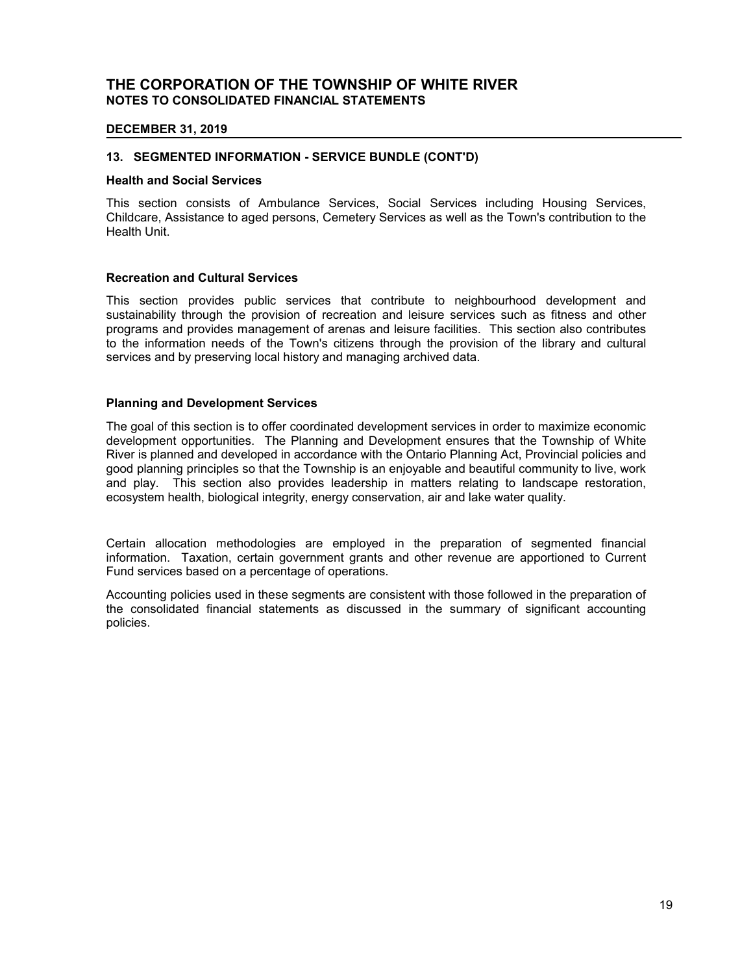### **DECEMBER 31, 2019**

# **13. SEGMENTED INFORMATION - SERVICE BUNDLE (CONT'D)**

### **Health and Social Services**

This section consists of Ambulance Services, Social Services including Housing Services, Childcare, Assistance to aged persons, Cemetery Services as well as the Town's contribution to the Health Unit.

## **Recreation and Cultural Services**

This section provides public services that contribute to neighbourhood development and sustainability through the provision of recreation and leisure services such as fitness and other programs and provides management of arenas and leisure facilities. This section also contributes to the information needs of the Town's citizens through the provision of the library and cultural services and by preserving local history and managing archived data.

### **Planning and Development Services**

The goal of this section is to offer coordinated development services in order to maximize economic development opportunities. The Planning and Development ensures that the Township of White River is planned and developed in accordance with the Ontario Planning Act, Provincial policies and good planning principles so that the Township is an enjoyable and beautiful community to live, work and play. This section also provides leadership in matters relating to landscape restoration, ecosystem health, biological integrity, energy conservation, air and lake water quality.

Certain allocation methodologies are employed in the preparation of segmented financial information. Taxation, certain government grants and other revenue are apportioned to Current Fund services based on a percentage of operations.

Accounting policies used in these segments are consistent with those followed in the preparation of the consolidated financial statements as discussed in the summary of significant accounting policies.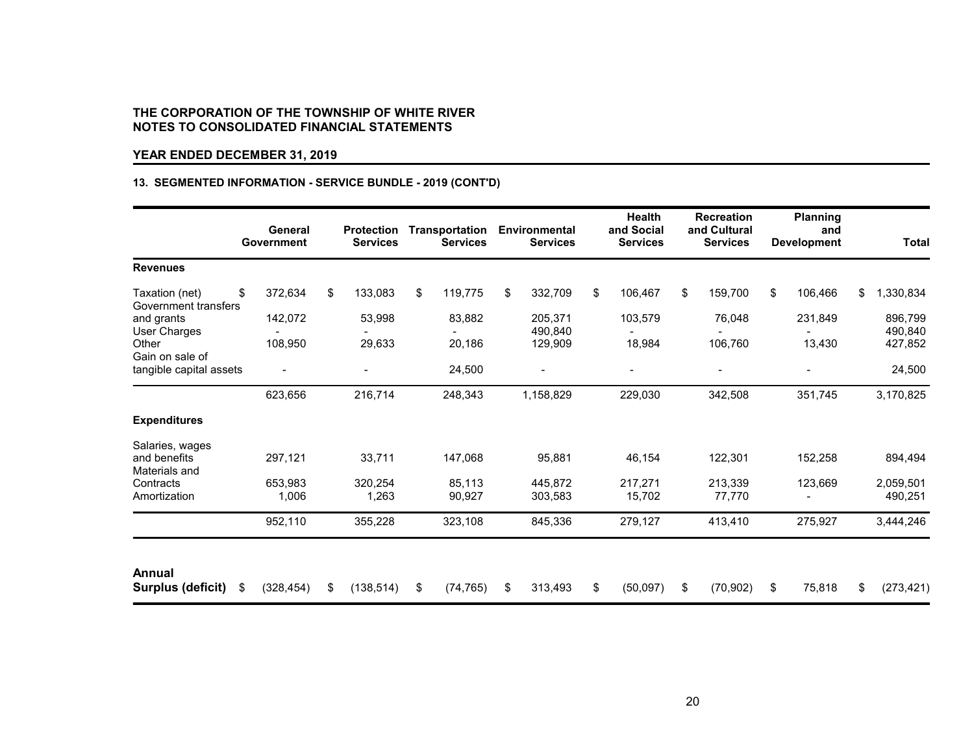# **YEAR ENDED DECEMBER 31, 2019**

# **13. SEGMENTED INFORMATION - SERVICE BUNDLE - 2019 (CONT'D)**

|                                        | General<br><b>Government</b> | <b>Protection</b><br><b>Services</b> | <b>Transportation</b><br><b>Services</b> | <b>Environmental</b><br><b>Services</b> | <b>Health</b><br>and Social<br><b>Services</b> | <b>Recreation</b><br>and Cultural<br><b>Services</b> | <b>Planning</b><br>and<br><b>Development</b> | <b>Total</b>         |
|----------------------------------------|------------------------------|--------------------------------------|------------------------------------------|-----------------------------------------|------------------------------------------------|------------------------------------------------------|----------------------------------------------|----------------------|
| <b>Revenues</b>                        |                              |                                      |                                          |                                         |                                                |                                                      |                                              |                      |
| Taxation (net)<br>Government transfers | \$<br>372,634                | \$<br>133,083                        | \$<br>119,775                            | \$<br>332,709                           | \$<br>106,467                                  | \$<br>159,700                                        | \$<br>106,466                                | \$<br>,330,834       |
| and grants<br>User Charges             | 142,072                      | 53,998                               | 83,882                                   | 205.371<br>490,840                      | 103,579                                        | 76,048                                               | 231.849                                      | 896.799<br>490,840   |
| Other<br>Gain on sale of               | 108,950                      | 29,633                               | 20,186                                   | 129,909                                 | 18,984                                         | 106,760                                              | 13,430                                       | 427,852              |
| tangible capital assets                |                              |                                      | 24,500                                   |                                         |                                                |                                                      |                                              | 24,500               |
|                                        | 623,656                      | 216,714                              | 248,343                                  | 1,158,829                               | 229,030                                        | 342,508                                              | 351.745                                      | 3,170,825            |
| <b>Expenditures</b>                    |                              |                                      |                                          |                                         |                                                |                                                      |                                              |                      |
| Salaries, wages                        |                              |                                      |                                          |                                         |                                                |                                                      |                                              |                      |
| and benefits<br>Materials and          | 297,121                      | 33,711                               | 147,068                                  | 95,881                                  | 46,154                                         | 122,301                                              | 152,258                                      | 894,494              |
| Contracts<br>Amortization              | 653,983<br>1,006             | 320,254<br>1,263                     | 85,113<br>90,927                         | 445,872<br>303,583                      | 217,271<br>15,702                              | 213,339<br>77,770                                    | 123,669                                      | 2,059,501<br>490,251 |
|                                        | 952,110                      | 355,228                              | 323,108                                  | 845,336                                 | 279,127                                        | 413,410                                              | 275,927                                      | 3,444,246            |
|                                        |                              |                                      |                                          |                                         |                                                |                                                      |                                              |                      |
| Annual<br><b>Surplus (deficit)</b>     | \$<br>(328, 454)             | \$<br>(138, 514)                     | \$<br>(74, 765)                          | \$<br>313,493                           | \$<br>(50,097)                                 | \$<br>(70, 902)                                      | \$<br>75,818                                 | \$<br>(273, 421)     |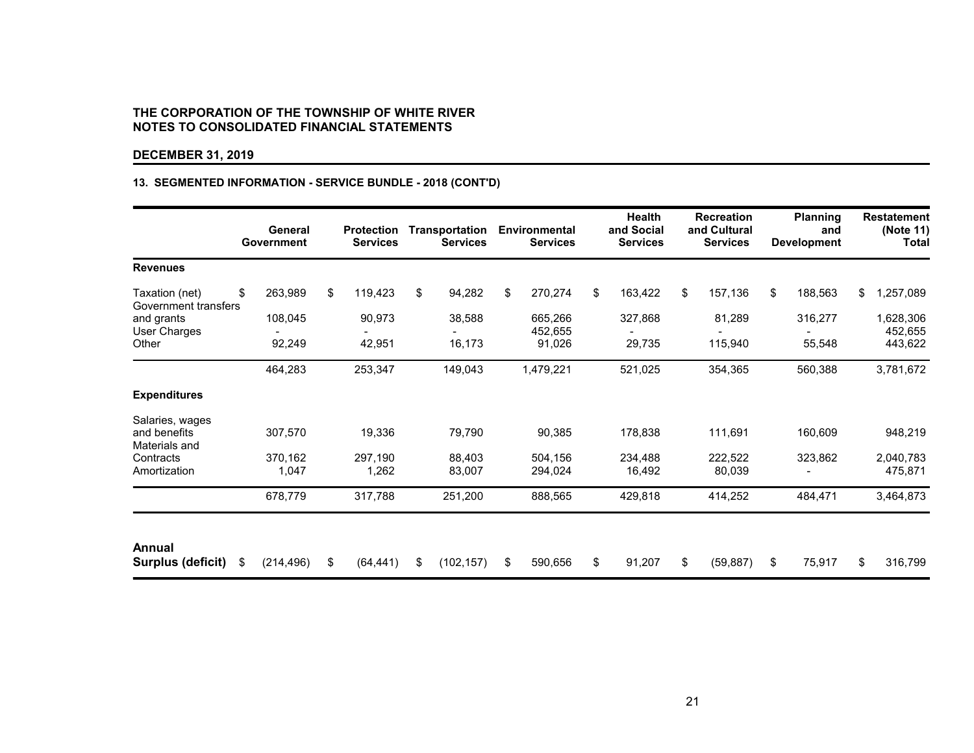# **DECEMBER 31, 2019**

# **13. SEGMENTED INFORMATION - SERVICE BUNDLE - 2018 (CONT'D)**

|                                        | General<br>Government | <b>Protection</b><br><b>Services</b> | Transportation<br><b>Services</b> | Environmental<br><b>Services</b> | <b>Health</b><br>and Social<br><b>Services</b> | <b>Recreation</b><br>and Cultural<br><b>Services</b> | <b>Planning</b><br>and<br><b>Development</b> | <b>Restatement</b><br>(Note 11)<br><b>Total</b> |
|----------------------------------------|-----------------------|--------------------------------------|-----------------------------------|----------------------------------|------------------------------------------------|------------------------------------------------------|----------------------------------------------|-------------------------------------------------|
| <b>Revenues</b>                        |                       |                                      |                                   |                                  |                                                |                                                      |                                              |                                                 |
| Taxation (net)<br>Government transfers | \$<br>263,989         | \$<br>119,423                        | \$<br>94,282                      | \$<br>270,274                    | \$<br>163,422                                  | \$<br>157,136                                        | \$<br>188,563                                | \$<br>1,257,089                                 |
| and grants<br>User Charges             | 108,045               | 90,973                               | 38,588                            | 665,266<br>452,655               | 327,868                                        | 81,289                                               | 316,277                                      | 1,628,306<br>452,655                            |
| Other                                  | 92,249                | 42,951                               | 16,173                            | 91,026                           | 29,735                                         | 115,940                                              | 55,548                                       | 443,622                                         |
|                                        | 464,283               | 253,347                              | 149,043                           | 1,479,221                        | 521,025                                        | 354,365                                              | 560,388                                      | 3,781,672                                       |
| <b>Expenditures</b>                    |                       |                                      |                                   |                                  |                                                |                                                      |                                              |                                                 |
| Salaries, wages                        |                       |                                      |                                   |                                  |                                                |                                                      |                                              |                                                 |
| and benefits<br>Materials and          | 307,570               | 19,336                               | 79,790                            | 90,385                           | 178,838                                        | 111,691                                              | 160,609                                      | 948,219                                         |
| Contracts                              | 370.162               | 297,190                              | 88.403                            | 504,156                          | 234,488                                        | 222,522                                              | 323,862                                      | 2,040,783                                       |
| Amortization                           | 1,047                 | 1,262                                | 83,007                            | 294,024                          | 16,492                                         | 80,039                                               |                                              | 475,871                                         |
|                                        | 678,779               | 317,788                              | 251,200                           | 888,565                          | 429,818                                        | 414,252                                              | 484,471                                      | 3,464,873                                       |
|                                        |                       |                                      |                                   |                                  |                                                |                                                      |                                              |                                                 |
| <b>Annual</b><br>Surplus (deficit)     | \$<br>(214, 496)      | \$<br>(64, 441)                      | \$<br>(102, 157)                  | \$<br>590,656                    | \$<br>91,207                                   | \$<br>(59, 887)                                      | \$<br>75,917                                 | \$<br>316,799                                   |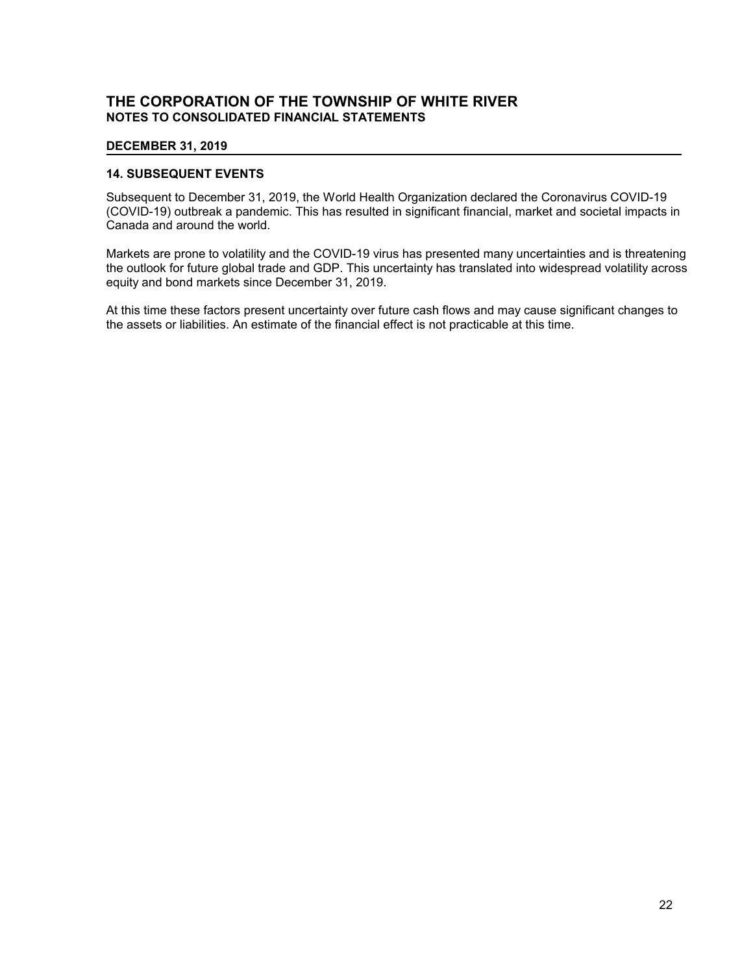# **DECEMBER 31, 2019**

### **14. SUBSEQUENT EVENTS**

Subsequent to December 31, 2019, the World Health Organization declared the Coronavirus COVID-19 (COVID-19) outbreak a pandemic. This has resulted in significant financial, market and societal impacts in Canada and around the world.

Markets are prone to volatility and the COVID-19 virus has presented many uncertainties and is threatening the outlook for future global trade and GDP. This uncertainty has translated into widespread volatility across equity and bond markets since December 31, 2019.

At this time these factors present uncertainty over future cash flows and may cause significant changes to the assets or liabilities. An estimate of the financial effect is not practicable at this time.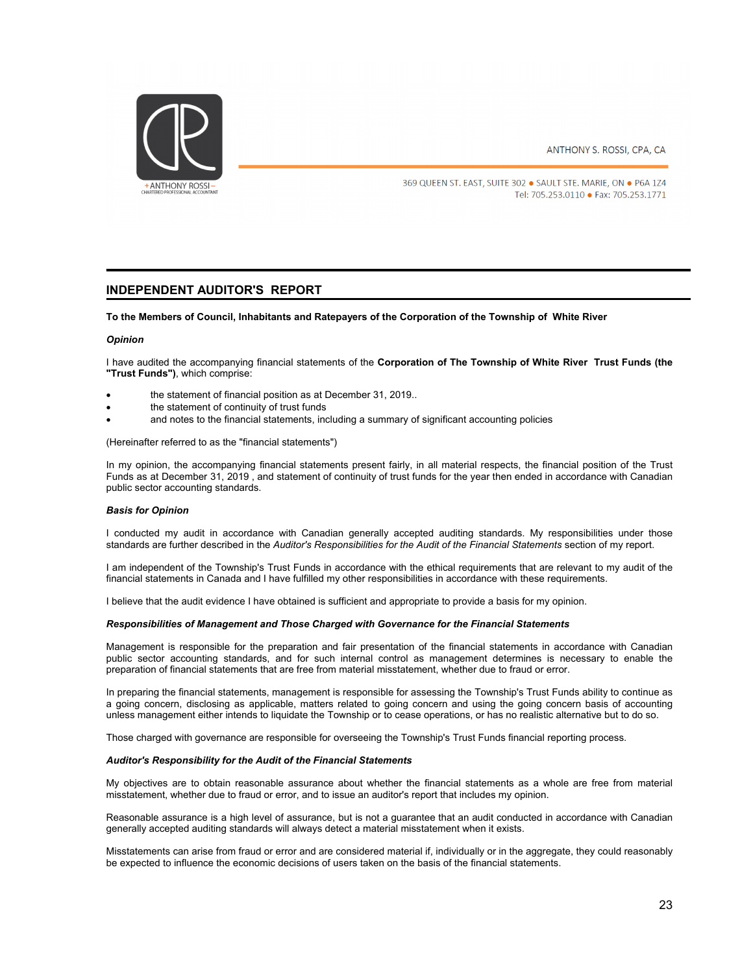

ANTHONY S. ROSSI, CPA, CA

369 QUEEN ST. EAST, SUITE 302 . SAULT STE. MARIE, ON . P6A 1Z4 Tel: 705.253.0110 · Fax: 705.253.1771

#### **INDEPENDENT AUDITOR'S REPORT**

#### **To the Members of Council, Inhabitants and Ratepayers of the Corporation of the Township of White River**

#### *Opinion*

I have audited the accompanying financial statements of the **Corporation of The Township of White River Trust Funds (the "Trust Funds")**, which comprise:

- the statement of financial position as at December 31, 2019..
- the statement of continuity of trust funds
- and notes to the financial statements, including a summary of significant accounting policies

(Hereinafter referred to as the "financial statements")

In my opinion, the accompanying financial statements present fairly, in all material respects, the financial position of the Trust Funds as at December 31, 2019 , and statement of continuity of trust funds for the year then ended in accordance with Canadian public sector accounting standards.

#### *Basis for Opinion*

I conducted my audit in accordance with Canadian generally accepted auditing standards. My responsibilities under those standards are further described in the *Auditor's Responsibilities for the Audit of the Financial Statements* section of my report.

I am independent of the Township's Trust Funds in accordance with the ethical requirements that are relevant to my audit of the financial statements in Canada and I have fulfilled my other responsibilities in accordance with these requirements.

I believe that the audit evidence I have obtained is sufficient and appropriate to provide a basis for my opinion.

#### *Responsibilities of Management and Those Charged with Governance for the Financial Statements*

Management is responsible for the preparation and fair presentation of the financial statements in accordance with Canadian public sector accounting standards, and for such internal control as management determines is necessary to enable the preparation of financial statements that are free from material misstatement, whether due to fraud or error.

In preparing the financial statements, management is responsible for assessing the Township's Trust Funds ability to continue as a going concern, disclosing as applicable, matters related to going concern and using the going concern basis of accounting unless management either intends to liquidate the Township or to cease operations, or has no realistic alternative but to do so.

Those charged with governance are responsible for overseeing the Township's Trust Funds financial reporting process.

#### *Auditor's Responsibility for the Audit of the Financial Statements*

My objectives are to obtain reasonable assurance about whether the financial statements as a whole are free from material misstatement, whether due to fraud or error, and to issue an auditor's report that includes my opinion.

Reasonable assurance is a high level of assurance, but is not a guarantee that an audit conducted in accordance with Canadian generally accepted auditing standards will always detect a material misstatement when it exists.

Misstatements can arise from fraud or error and are considered material if, individually or in the aggregate, they could reasonably be expected to influence the economic decisions of users taken on the basis of the financial statements.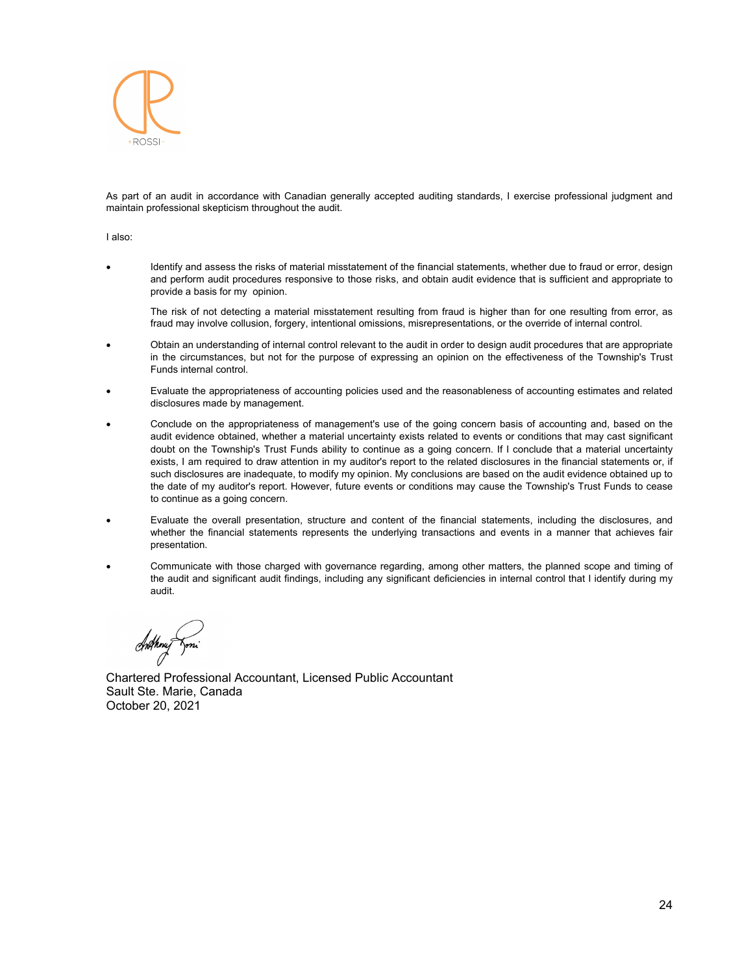

As part of an audit in accordance with Canadian generally accepted auditing standards, I exercise professional judgment and maintain professional skepticism throughout the audit.

I also:

 Identify and assess the risks of material misstatement of the financial statements, whether due to fraud or error, design and perform audit procedures responsive to those risks, and obtain audit evidence that is sufficient and appropriate to provide a basis for my opinion.

The risk of not detecting a material misstatement resulting from fraud is higher than for one resulting from error, as fraud may involve collusion, forgery, intentional omissions, misrepresentations, or the override of internal control.

- Obtain an understanding of internal control relevant to the audit in order to design audit procedures that are appropriate in the circumstances, but not for the purpose of expressing an opinion on the effectiveness of the Township's Trust Funds internal control.
- Evaluate the appropriateness of accounting policies used and the reasonableness of accounting estimates and related disclosures made by management.
- Conclude on the appropriateness of management's use of the going concern basis of accounting and, based on the audit evidence obtained, whether a material uncertainty exists related to events or conditions that may cast significant doubt on the Township's Trust Funds ability to continue as a going concern. If I conclude that a material uncertainty exists, I am required to draw attention in my auditor's report to the related disclosures in the financial statements or, if such disclosures are inadequate, to modify my opinion. My conclusions are based on the audit evidence obtained up to the date of my auditor's report. However, future events or conditions may cause the Township's Trust Funds to cease to continue as a going concern.
- Evaluate the overall presentation, structure and content of the financial statements, including the disclosures, and whether the financial statements represents the underlying transactions and events in a manner that achieves fair presentation.
- Communicate with those charged with governance regarding, among other matters, the planned scope and timing of the audit and significant audit findings, including any significant deficiencies in internal control that I identify during my audit.

Anghnu

Chartered Professional Accountant, Licensed Public Accountant Sault Ste. Marie, Canada October 20, 2021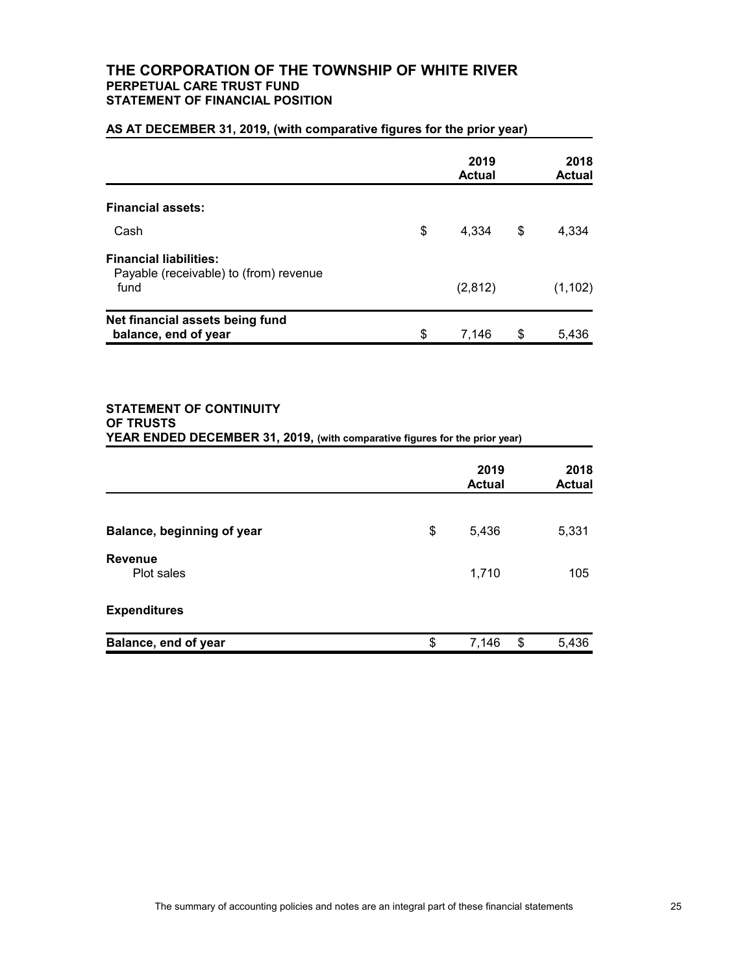# **THE CORPORATION OF THE TOWNSHIP OF WHITE RIVER PERPETUAL CARE TRUST FUND STATEMENT OF FINANCIAL POSITION**

|                                                                                 | 2019<br><b>Actual</b> | 2018<br><b>Actual</b> |
|---------------------------------------------------------------------------------|-----------------------|-----------------------|
| <b>Financial assets:</b>                                                        |                       |                       |
| Cash                                                                            | \$<br>4,334           | \$<br>4,334           |
| <b>Financial liabilities:</b><br>Payable (receivable) to (from) revenue<br>fund | (2,812)               | (1, 102)              |
| Net financial assets being fund<br>balance, end of year                         | \$<br>7.146           | \$<br>5,436           |

#### **AS AT DECEMBER 31, 2019, (with comparative figures for the prior year)**

# **STATEMENT OF CONTINUITY OF TRUSTS YEAR ENDED DECEMBER 31, 2019, (with comparative figures for the prior year)**

|                              | 2019<br><b>Actual</b> | 2018<br><b>Actual</b> |
|------------------------------|-----------------------|-----------------------|
| Balance, beginning of year   | \$<br>5,436           | 5,331                 |
| <b>Revenue</b><br>Plot sales | 1,710                 | 105                   |
| <b>Expenditures</b>          |                       |                       |
| Balance, end of year         | \$<br>7,146           | \$<br>5,436           |